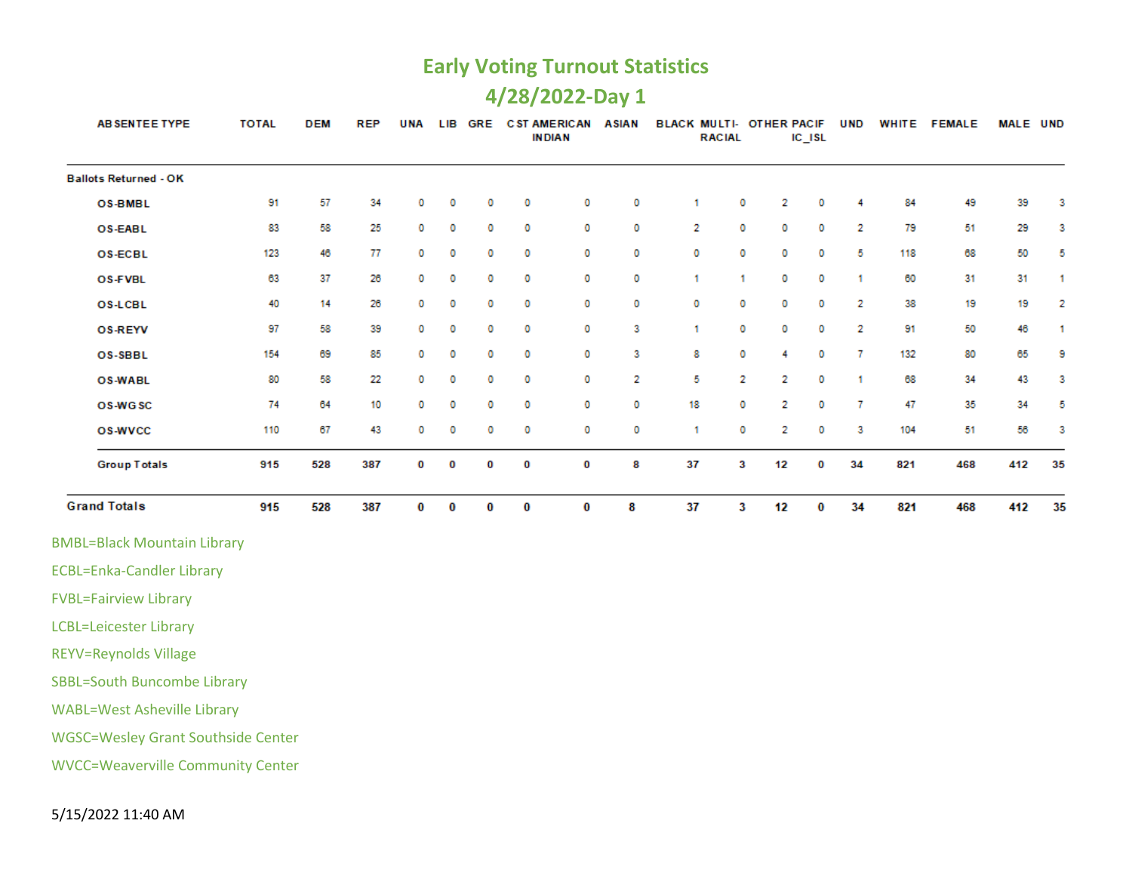# **4/28/2022-Day 1**

| AB SENTEE TYPE                            | <b>TOTAL</b> | <b>DEM</b> | <b>REP</b> | <b>UNA</b> | LIB | GRE |          | <b>CST AMERICAN</b><br><b>INDIAN</b> | ASIAN | BLACK MULTI- OTHER PACIF | <b>RACIAL</b> |    | $IC$ <sub>ISL</sub> | <b>UND</b> |     | WHITE FEMALE | MALE UND |    |
|-------------------------------------------|--------------|------------|------------|------------|-----|-----|----------|--------------------------------------|-------|--------------------------|---------------|----|---------------------|------------|-----|--------------|----------|----|
| <b>Ballots Returned - OK</b>              |              |            |            |            |     |     |          |                                      |       |                          |               |    |                     |            |     |              |          |    |
| <b>OS-BMBL</b>                            | 91           | 57         | 34         | ٥          | 0   | 0   | 0        | 0                                    | 0     | 1                        | 0             | 2  | 0                   | 4          | 84  | 49           | 39       | з  |
| OS-EABL                                   | 83           | 58         | 25         | 0          | 0   | 0   | 0        | 0                                    | 0     | 2                        | 0             | ٥  | 0                   | 2          | 79  | 51           | 29       | з  |
| <b>OS-ECBL</b>                            | 123          | 46         | 77         | 0          | o   | 0   | 0        | 0                                    | 0     | 0                        | 0             | 0  | 0                   | 5          | 118 | 68           | 50       | 5  |
| OS-FVBL                                   | 63           | 37         | 26         | 0          | o   | 0   | 0        | 0                                    | 0     | 1                        | $\mathbf{1}$  | 0  | 0                   | 1          | 60  | 31           | 31       | 1  |
| <b>OS-LCBL</b>                            | 40           | 14         | 26         | 0          | o   | 0   | 0        | 0                                    | 0     | 0                        | 0             | 0  | o                   | 2          | 38  | 19           | 19       | 2  |
| <b>OS-REYV</b>                            | 97           | 58         | 39         | 0          | 0   | 0   | ٥        | 0                                    | з     | 1                        | o             | ٥  | o                   | 2          | 91  | 50           | 46       | 1  |
| OS-SBBL                                   | 154          | 69         | 85         | 0          | o   | 0   | 0        | 0                                    | 3     | 8                        | o             | 4  | 0                   | 7          | 132 | 80           | 65       | 9  |
| <b>OS-WABL</b>                            | 80           | 58         | 22         | 0          | 0   | 0   | 0        | 0                                    | 2     | 5                        | 2             | 2  | o                   | 1          | 68  | 34           | 43       | 3  |
| OS-WGSC                                   | 74           | 64         | 10         | 0          | o   | 0   | o        | 0                                    | 0     | 18                       | 0             | 2  | o                   | 7          | 47  | 35           | 34       | 5  |
| <b>OS-WVCC</b>                            | 110          | 67         | 43         | 0          | 0   | 0   | 0        | 0                                    | 0     | 1                        | 0             | 2  | 0                   | 3          | 104 | 51           | 56       | 3  |
| <b>Group Totals</b>                       | 915          | 528        | 387        | 0          | 0   | 0   | 0        | 0                                    | 8     | 37                       | 3             | 12 | 0                   | 34         | 821 | 468          | 412      | 35 |
| <b>Grand Totals</b>                       | 915          | 528        | 387        | 0          | 0   | 0   | $\bf{0}$ | 0                                    | 8     | 37                       | 3             | 12 | 0                   | 34         | 821 | 468          | 412      | 35 |
| <b>BMBL=Black Mountain Library</b>        |              |            |            |            |     |     |          |                                      |       |                          |               |    |                     |            |     |              |          |    |
| <b>ECBL=Enka-Candler Library</b>          |              |            |            |            |     |     |          |                                      |       |                          |               |    |                     |            |     |              |          |    |
| <b>FVBL=Fairview Library</b>              |              |            |            |            |     |     |          |                                      |       |                          |               |    |                     |            |     |              |          |    |
| <b>LCBL=Leicester Library</b>             |              |            |            |            |     |     |          |                                      |       |                          |               |    |                     |            |     |              |          |    |
| <b>REYV=Reynolds Village</b>              |              |            |            |            |     |     |          |                                      |       |                          |               |    |                     |            |     |              |          |    |
| <b>SBBL=South Buncombe Library</b>        |              |            |            |            |     |     |          |                                      |       |                          |               |    |                     |            |     |              |          |    |
| <b>WABL=West Asheville Library</b>        |              |            |            |            |     |     |          |                                      |       |                          |               |    |                     |            |     |              |          |    |
| <b>WGSC=Wesley Grant Southside Center</b> |              |            |            |            |     |     |          |                                      |       |                          |               |    |                     |            |     |              |          |    |
| <b>WVCC=Weaverville Community Center</b>  |              |            |            |            |     |     |          |                                      |       |                          |               |    |                     |            |     |              |          |    |
|                                           |              |            |            |            |     |     |          |                                      |       |                          |               |    |                     |            |     |              |          |    |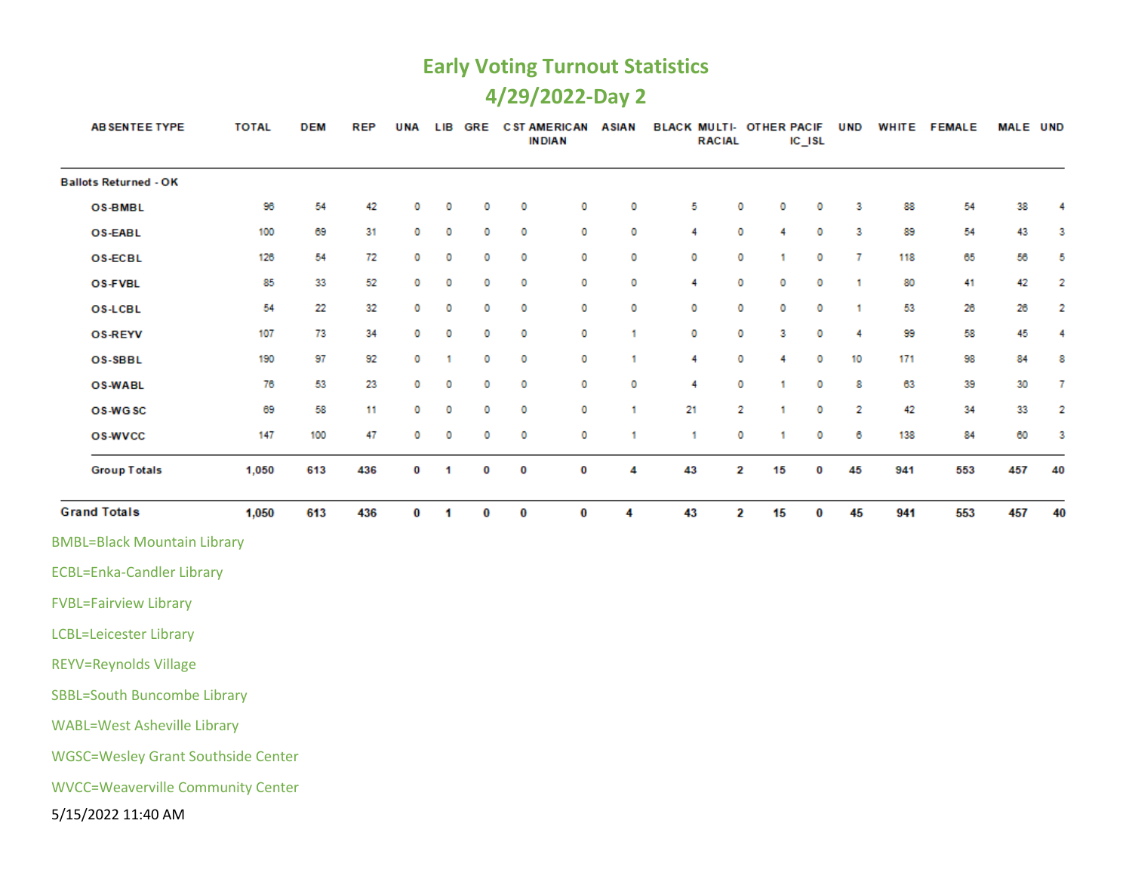# **4/29/2022-Day 2**

| <b>AB SENTEE TYPE</b>                     | <b>TOTAL</b> | <b>DEM</b> | <b>REP</b> | <b>UNA</b> |   | LIB GRE | <b>C ST AMERICAN</b> | <b>INDIAN</b> | <b>ASIAN</b> | BLACK MULTI- OTHER PACIF | <b>RACIAL</b> |    | $IC$ $ISL$ | <b>UND</b> |     | WHITE FEMALE | MALE UND |    |
|-------------------------------------------|--------------|------------|------------|------------|---|---------|----------------------|---------------|--------------|--------------------------|---------------|----|------------|------------|-----|--------------|----------|----|
| <b>Ballots Returned - OK</b>              |              |            |            |            |   |         |                      |               |              |                          |               |    |            |            |     |              |          |    |
| OS-BMBL                                   | 96           | 54         | 42         | 0          | 0 | 0       | 0                    | 0             | 0            | 5                        | o             | 0  | 0          | 3          | 88  | 54           | 38       | 4  |
| OS-EABL                                   | 100          | 69         | 31         | 0          | 0 | 0       | 0                    | 0             | 0            | 4                        | 0             | 4  | 0          | З          | 89  | 54           | 43       | з  |
| <b>OS-ECBL</b>                            | 126          | 54         | 72         | 0          | 0 | 0       | 0                    | 0             | 0            | 0                        | 0             | 1  | 0          | 7          | 118 | 65           | 56       | 5  |
| OS-FVBL                                   | 85           | 33         | 52         | 0          | 0 | 0       | 0                    | 0             | 0            | 4                        | 0             | 0  | 0          | 1          | 80  | 41           | 42       | 2  |
| <b>OS-LCBL</b>                            | 54           | 22         | 32         | 0          | 0 | 0       | 0                    | 0             | 0            | 0                        | 0             | 0  | 0          | 1          | 53  | 26           | 26       | 2  |
| <b>OS-REYV</b>                            | 107          | 73         | 34         | 0          | 0 | 0       | 0                    | 0             | 1            | 0                        | o             | 3  | 0          | 4          | 99  | 58           | 45       | 4  |
| OS-SBBL                                   | 190          | 97         | 92         | 0          | 1 | 0       | 0                    | 0             | 1            | 4                        | o             | 4  | 0          | 10         | 171 | 98           | 84       | 8  |
| <b>OS-WABL</b>                            | 76           | 53         | 23         | 0          | 0 | 0       | 0                    | 0             | 0            | 4                        | 0             | 1  | 0          | 8          | 63  | 39           | 30       | 7  |
| OS-WGSC                                   | 69           | 58         | 11         | 0          | 0 | 0       | 0                    | 0             | 1            | 21                       | 2             | 1  | 0          | 2          | 42  | 34           | 33       | 2  |
| <b>OS-WVCC</b>                            | 147          | 100        | 47         | 0          | 0 | 0       | 0                    | 0             | 1            | 1                        | 0             | 1  | 0          | 6          | 138 | 84           | 60       | з  |
| <b>Group Totals</b>                       | 1,050        | 613        | 436        | 0          | 1 | 0       | 0                    | 0             | 4            | 43                       | 2             | 15 | 0          | 45         | 941 | 553          | 457      | 40 |
| <b>Grand Totals</b>                       | 1,050        | 613        | 436        | 0          | 1 | 0       | 0                    | $\bf{0}$      | 4            | 43                       | 2             | 15 | 0          | 45         | 941 | 553          | 457      | 40 |
| <b>BMBL=Black Mountain Library</b>        |              |            |            |            |   |         |                      |               |              |                          |               |    |            |            |     |              |          |    |
| <b>ECBL=Enka-Candler Library</b>          |              |            |            |            |   |         |                      |               |              |                          |               |    |            |            |     |              |          |    |
| <b>FVBL=Fairview Library</b>              |              |            |            |            |   |         |                      |               |              |                          |               |    |            |            |     |              |          |    |
| <b>LCBL=Leicester Library</b>             |              |            |            |            |   |         |                      |               |              |                          |               |    |            |            |     |              |          |    |
| <b>REYV=Reynolds Village</b>              |              |            |            |            |   |         |                      |               |              |                          |               |    |            |            |     |              |          |    |
| <b>SBBL=South Buncombe Library</b>        |              |            |            |            |   |         |                      |               |              |                          |               |    |            |            |     |              |          |    |
| <b>WABL=West Asheville Library</b>        |              |            |            |            |   |         |                      |               |              |                          |               |    |            |            |     |              |          |    |
| <b>WGSC=Wesley Grant Southside Center</b> |              |            |            |            |   |         |                      |               |              |                          |               |    |            |            |     |              |          |    |
| <b>WVCC=Weaverville Community Center</b>  |              |            |            |            |   |         |                      |               |              |                          |               |    |            |            |     |              |          |    |
| 5/15/2022 11:40 AM                        |              |            |            |            |   |         |                      |               |              |                          |               |    |            |            |     |              |          |    |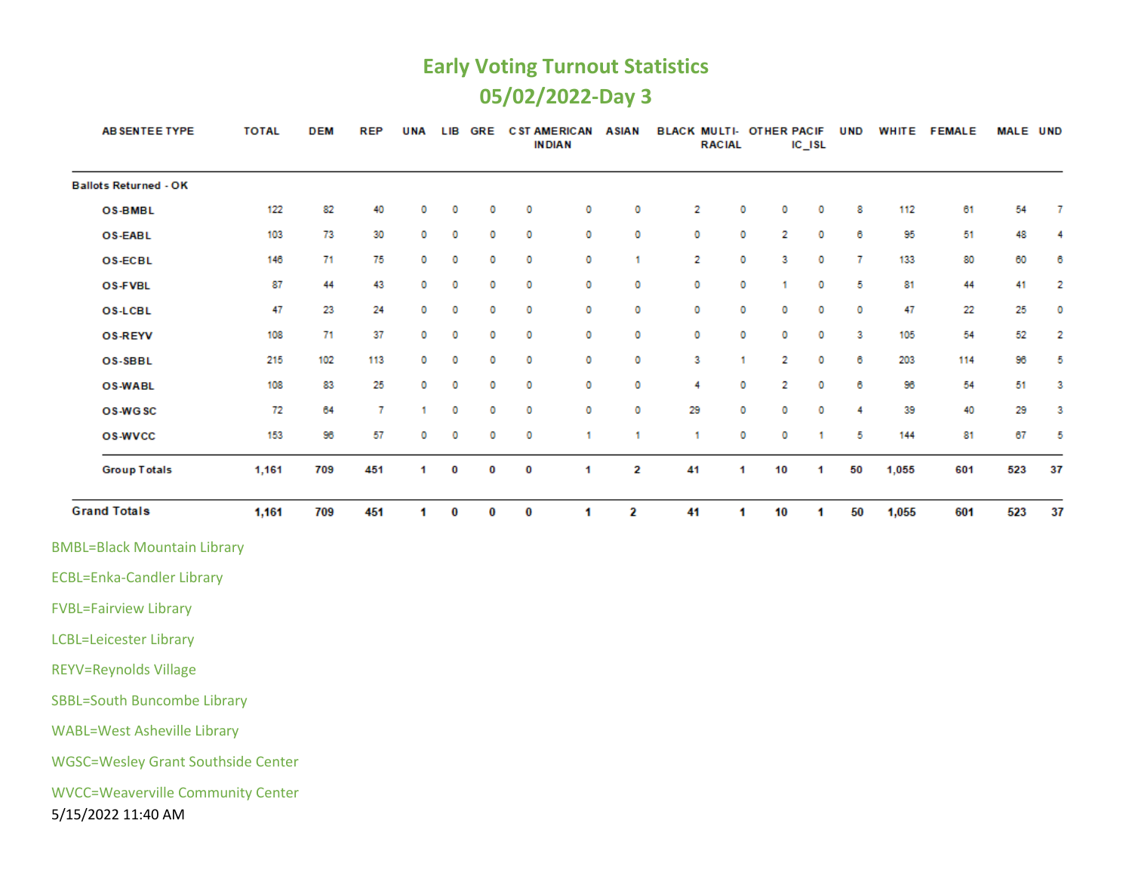# **Early Voting Turnout Statistics 05/02/2022-Day 3**

| AB SENTEE TYPE                                                 | <b>TOTAL</b> | <b>DEM</b> | <b>REP</b>     | <b>UNA</b> | <b>LIB</b> |   |   | GRE CST AMERICAN ASIAN<br><b>INDIAN</b> |              | BLACK MULTI- OTHER PACIF | <b>RACIAL</b> |    | $IC$ $ISL$ | <b>UND</b>     |       | WHITE FEMALE | MALE UND |    |
|----------------------------------------------------------------|--------------|------------|----------------|------------|------------|---|---|-----------------------------------------|--------------|--------------------------|---------------|----|------------|----------------|-------|--------------|----------|----|
| <b>Ballots Returned - OK</b>                                   |              |            |                |            |            |   |   |                                         |              |                          |               |    |            |                |       |              |          |    |
| <b>OS-BMBL</b>                                                 | 122          | 82         | 40             | 0          | 0          | 0 | 0 | 0                                       | 0            | 2                        | 0             | 0  | 0          | 8              | 112   | 61           | 54       | 7  |
| <b>OS-EABL</b>                                                 | 103          | 73         | 30             | 0          | 0          | 0 | 0 | 0                                       | 0            | 0                        | 0             | 2  | 0          | 6              | 95    | 51           | 48       | 4  |
| <b>OS-ECBL</b>                                                 | 146          | 71         | 75             | 0          | 0          | 0 | 0 | 0                                       | $\mathbf{1}$ | 2                        | 0             | з  | 0          | $\overline{7}$ | 133   | 80           | 60       | 6  |
| OS-FVBL                                                        | 87           | 44         | 43             | 0          | 0          | 0 | 0 | o                                       | 0            | 0                        | 0             | 1  | 0          | 5              | 81    | 44           | 41       | 2  |
| <b>OS-LCBL</b>                                                 | 47           | 23         | 24             | 0          | 0          | 0 | 0 | 0                                       | o            | 0                        | 0             | 0  | 0          | 0              | 47    | 22           | 25       | 0  |
| <b>OS-REYV</b>                                                 | 108          | 71         | 37             | 0          | 0          | 0 | 0 | 0                                       | 0            | 0                        | 0             | 0  | 0          | 3              | 105   | 54           | 52       | 2  |
| OS-SBBL                                                        | 215          | 102        | 113            | 0          | 0          | 0 | 0 | 0                                       | 0            | 3                        | 1             | 2  | 0          | 6              | 203   | 114          | 96       | 5  |
| <b>OS-WABL</b>                                                 | 108          | 83         | 25             | 0          | 0          | 0 | 0 | o                                       | 0            | 4                        | 0             | 2  | o          | 6              | 96    | 54           | 51       | 3  |
| OS-WGSC                                                        | 72           | 64         | $\overline{7}$ | 1          | 0          | 0 | 0 | 0                                       | 0            | 29                       | 0             | 0  | 0          | 4              | 39    | 40           | 29       | 3  |
| <b>OS-WVCC</b>                                                 | 153          | 96         | 57             | 0          | 0          | 0 | 0 | 1                                       | 1            | 1                        | 0             | 0  | 1          | 5              | 144   | 81           | 67       | 5  |
| <b>Group Totals</b>                                            | 1,161        | 709        | 451            | 1          | 0          | 0 | 0 | 1                                       | 2            | 41                       | 1             | 10 | 1          | 50             | 1,055 | 601          | 523      | 37 |
| <b>Grand Totals</b>                                            | 1,161        | 709        | 451            | 1.         | 0          | 0 | 0 | 1                                       | 2            | 41                       | 1             | 10 | 1          | 50             | 1,055 | 601          | 523      | 37 |
| <b>BMBL=Black Mountain Library</b>                             |              |            |                |            |            |   |   |                                         |              |                          |               |    |            |                |       |              |          |    |
| <b>ECBL=Enka-Candler Library</b>                               |              |            |                |            |            |   |   |                                         |              |                          |               |    |            |                |       |              |          |    |
| <b>FVBL=Fairview Library</b>                                   |              |            |                |            |            |   |   |                                         |              |                          |               |    |            |                |       |              |          |    |
| <b>LCBL=Leicester Library</b>                                  |              |            |                |            |            |   |   |                                         |              |                          |               |    |            |                |       |              |          |    |
| <b>REYV=Reynolds Village</b>                                   |              |            |                |            |            |   |   |                                         |              |                          |               |    |            |                |       |              |          |    |
| <b>SBBL=South Buncombe Library</b>                             |              |            |                |            |            |   |   |                                         |              |                          |               |    |            |                |       |              |          |    |
| <b>WABL=West Asheville Library</b>                             |              |            |                |            |            |   |   |                                         |              |                          |               |    |            |                |       |              |          |    |
| <b>WGSC=Wesley Grant Southside Center</b>                      |              |            |                |            |            |   |   |                                         |              |                          |               |    |            |                |       |              |          |    |
| <b>WVCC=Weaverville Community Center</b><br>5/15/2022 11:40 AM |              |            |                |            |            |   |   |                                         |              |                          |               |    |            |                |       |              |          |    |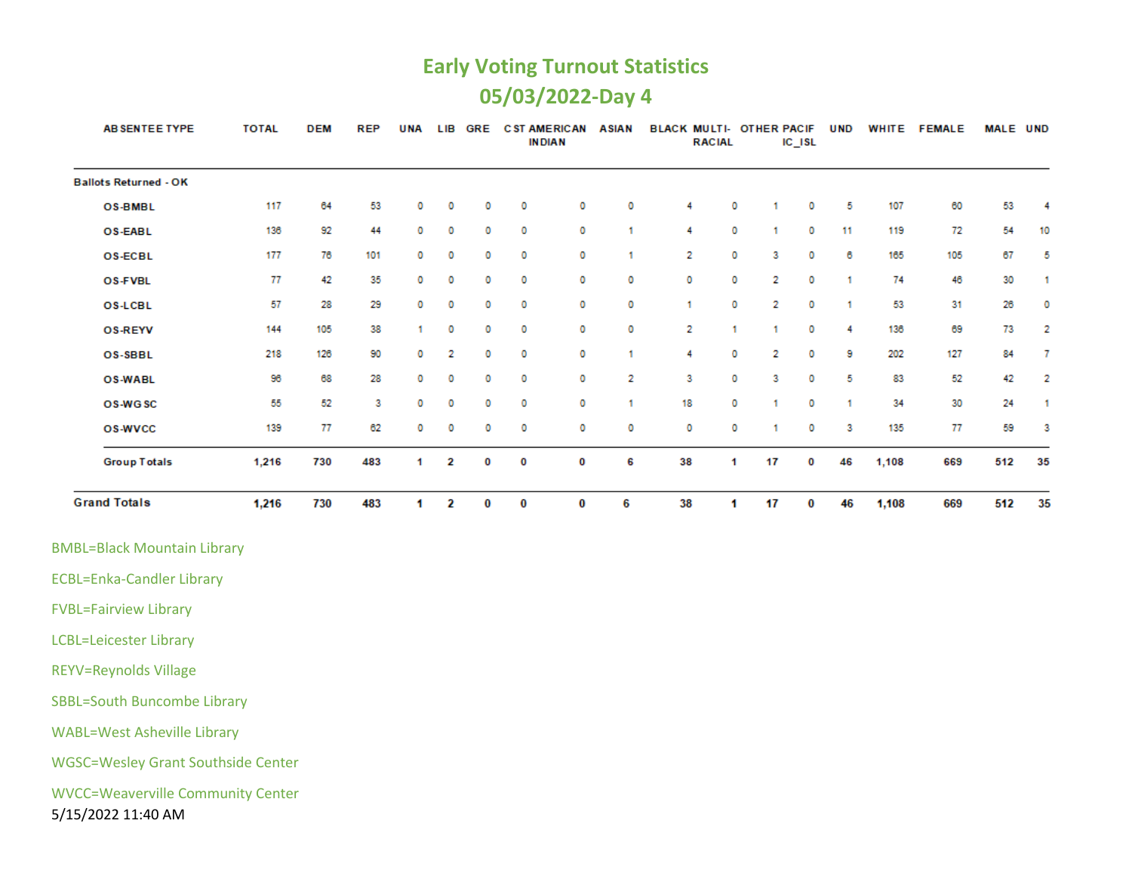#### **Early Voting Turnout Statistics 05/03/2022-Day 4**

| AB SENTEE TYPE               | <b>TOTAL</b> | <b>DEM</b> | <b>REP</b> | <b>UNA</b> | <b>LIB</b> | <b>GRE</b> | <b>CST AMERICAN</b><br><b>IN DIAN</b> |   | <b>ASIAN</b> | <b>BLACK MULTI- OTHER PACIF</b> | <b>RACIAL</b> |    | $IC$ $ISL$ | <b>UND</b> | <b>WHITE</b> | <b>FEMALE</b> | <b>MALE UND</b> |    |
|------------------------------|--------------|------------|------------|------------|------------|------------|---------------------------------------|---|--------------|---------------------------------|---------------|----|------------|------------|--------------|---------------|-----------------|----|
| <b>Ballots Returned - OK</b> |              |            |            |            |            |            |                                       |   |              |                                 |               |    |            |            |              |               |                 |    |
| <b>OS-BMBL</b>               | 117          | 64         | 53         | 0          | 0          | 0          | 0                                     | 0 | 0            | 4                               | 0             |    | 0          | 5          | 107          | 60            | 53              | 4  |
| OS-EABL                      | 136          | 92         | 44         | 0          | 0          | 0          | 0                                     | 0 |              | 4                               | 0             |    | 0          | 11         | 119          | 72            | 54              | 10 |
| <b>OS-ECBL</b>               | 177          | 76         | 101        | 0          | 0          | 0          | 0                                     | 0 |              | 2                               | 0             | з  | 0          | 6          | 165          | 105           | 67              | 5  |
| <b>OS-FVBL</b>               | 77           | 42         | 35         | 0          | 0          | 0          | 0                                     | 0 | 0            | 0                               | 0             | 2  | 0          |            | 74           | 46            | 30              |    |
| <b>OS-LCBL</b>               | 57           | 28         | 29         | 0          | 0          | 0          | 0                                     | 0 | 0            | 4                               | 0             | 2  | 0          |            | 53           | 31            | 26              | 0  |
| <b>OS-REYV</b>               | 144          | 105        | 38         |            | 0          | 0          | 0                                     | 0 | 0            | 2                               |               |    | 0          | Δ          | 136          | 69            | 73              | 2  |
| OS-SBBL                      | 218          | 126        | 90         | 0          | 2          | 0          | 0                                     | 0 |              | 4                               | 0             | 2  | 0          | 9          | 202          | 127           | 84              | 7  |
| <b>OS-WABL</b>               | 96           | 68         | 28         | 0          | 0          | 0          | 0                                     | 0 | 2            | з                               | 0             | 3  | 0          | 5          | 83           | 52            | 42              | -2 |
| OS-WGSC                      | 55           | 52         | 3          | 0          | 0          | 0          | 0                                     | 0 |              | 18                              | 0             |    | 0          |            | 34           | 30            | 24              |    |
| <b>OS-WVCC</b>               | 139          | 77         | 62         | 0          | 0          | 0          | 0                                     | 0 | 0            | 0                               | 0             |    | 0          | 3          | 135          | 77            | 59              | -3 |
| <b>Group Totals</b>          | 1,216        | 730        | 483        | 1.         | 2          | 0          | 0                                     | 0 | 6            | 38                              | -1            | 17 | 0          | 46         | 1,108        | 669           | 512             | 35 |
| <b>Grand Totals</b>          | 1,216        | 730        | 483        | 4          | 2          | 0          | 0                                     | 0 | 6            | 38                              | 1             | 17 | 0          | 46         | 1,108        | 669           | 512             | 35 |

BMBL=Black Mountain Library

ECBL=Enka-Candler Library

FVBL=Fairview Library

LCBL=Leicester Library

REYV=Reynolds Village

SBBL=South Buncombe Library

WABL=West Asheville Library

WGSC=Wesley Grant Southside Center

WVCC=Weaverville Community Center

5/15/2022 11:40 AM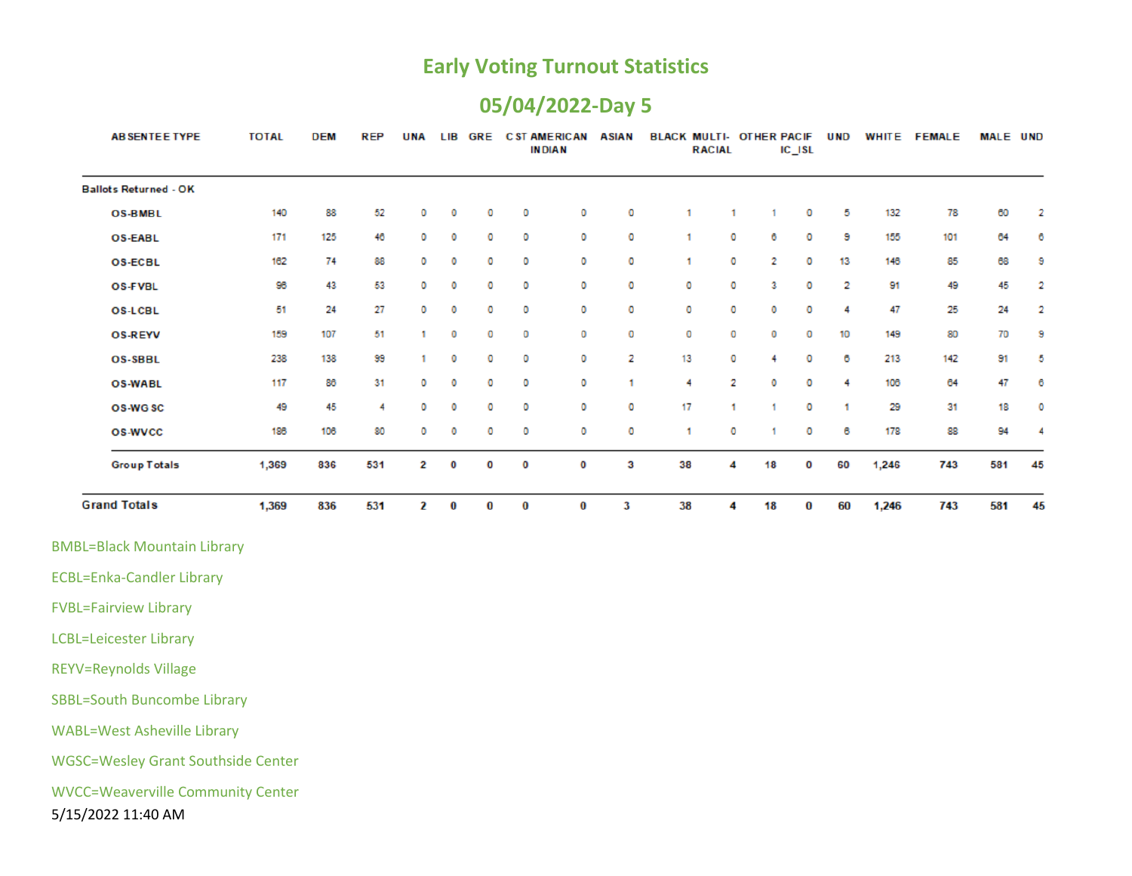#### **05/04/2022-Day 5**

| <b>AB SENTEE TYPE</b>        | <b>TOTAL</b> | <b>DEM</b> | <b>REP</b> | <b>UNA</b> | <b>LIB</b> | <b>GRE</b> |          | <b>CST AMERICAN</b><br><b>INDIAN</b> | <b>ASIAN</b> | <b>BLACK MULTI- OTHER PACIF</b> | <b>RACIAL</b> |    | IC_ISL   | <b>UND</b> | WHITE | <b>FEMALE</b> | <b>MALE UND</b> |    |
|------------------------------|--------------|------------|------------|------------|------------|------------|----------|--------------------------------------|--------------|---------------------------------|---------------|----|----------|------------|-------|---------------|-----------------|----|
| <b>Ballots Returned - OK</b> |              |            |            |            |            |            |          |                                      |              |                                 |               |    |          |            |       |               |                 |    |
| <b>OS-BMBL</b>               | 140          | 88         | 52         | 0          | O          | o          | 0        | 0                                    | O            | 1.                              | 1             | -1 | O        | 5          | 132   | 78            | 60              | 2  |
| <b>OS-EABL</b>               | 171          | 125        | 46         | 0          | 0          | o          | 0        | 0                                    | O            | 1                               | o             | 6  | 0        | 9          | 155   | 101           | 64              | 6  |
| <b>OS-ECBL</b>               | 162          | 74         | 88         | $\circ$    | 0          | 0          | 0        | 0                                    | $\circ$      | 1                               | 0             | 2  | 0        | 13         | 146   | 85            | 68              | 9  |
| <b>OS-FVBL</b>               | 96           | 43         | 53         | 0          | O          | O          | 0        | 0                                    | 0            | 0                               | ٥             | 3  | 0        | 2          | 91    | 49            | 45              | 2  |
| <b>OS-LCBL</b>               | 51           | 24         | 27         | 0          | 0          | 0          | 0        | 0                                    | o            | 0                               | о             | o  | 0        | 4          | 47    | 25            | 24              | 2  |
| <b>OS-REYV</b>               | 159          | 107        | 51         |            | o          | o          | 0        | 0                                    | o            | 0                               | 0             | o  | 0        | 10         | 149   | 80            | 70              | 9  |
| <b>OS-SBBL</b>               | 238          | 138        | 99         | 1.         | 0          | o          | 0        | 0                                    | 2            | 13                              | 0             | 4  | 0        | 6          | 213   | 142           | 91              | 5  |
| <b>OS-WABL</b>               | 117          | 86         | 31         | 0          | o          | o          | 0        | 0                                    | ٠            | 4                               | 2             | o  | 0        | 4          | 106   | 64            | 47              | 6  |
| OS-WGSC                      | 49           | 45         | 4          | 0          | 0          | o          | 0        | 0                                    | O            | 17                              |               |    | 0        | 4          | 29    | 31            | 18              | ٥  |
| <b>OS-WVCC</b>               | 186          | 106        | 80         | 0          | o          | o          | 0        | 0                                    | O            | 1                               | 0             |    | 0        | 6          | 178   | 88            | 94              |    |
| <b>Group Totals</b>          | 1,369        | 836        | 531        | 2          | 0          | 0          | 0        | 0                                    | 3            | 38                              | 4             | 18 | O        | 60         | 1,246 | 743           | 581             | 45 |
| <b>Grand Totals</b>          | 1,369        | 836        | 531        | 2          | $\bf{0}$   | 0          | $\bf{0}$ | $\bf{0}$                             | 3            | 38                              | 4             | 18 | $\bf{0}$ | 60         | 1,246 | 743           | 581             | 45 |

ECBL=Enka-Candler Library

FVBL=Fairview Library

LCBL=Leicester Library

REYV=Reynolds Village

SBBL=South Buncombe Library

WABL=West Asheville Library

WGSC=Wesley Grant Southside Center

WVCC=Weaverville Community Center

5/15/2022 11:40 AM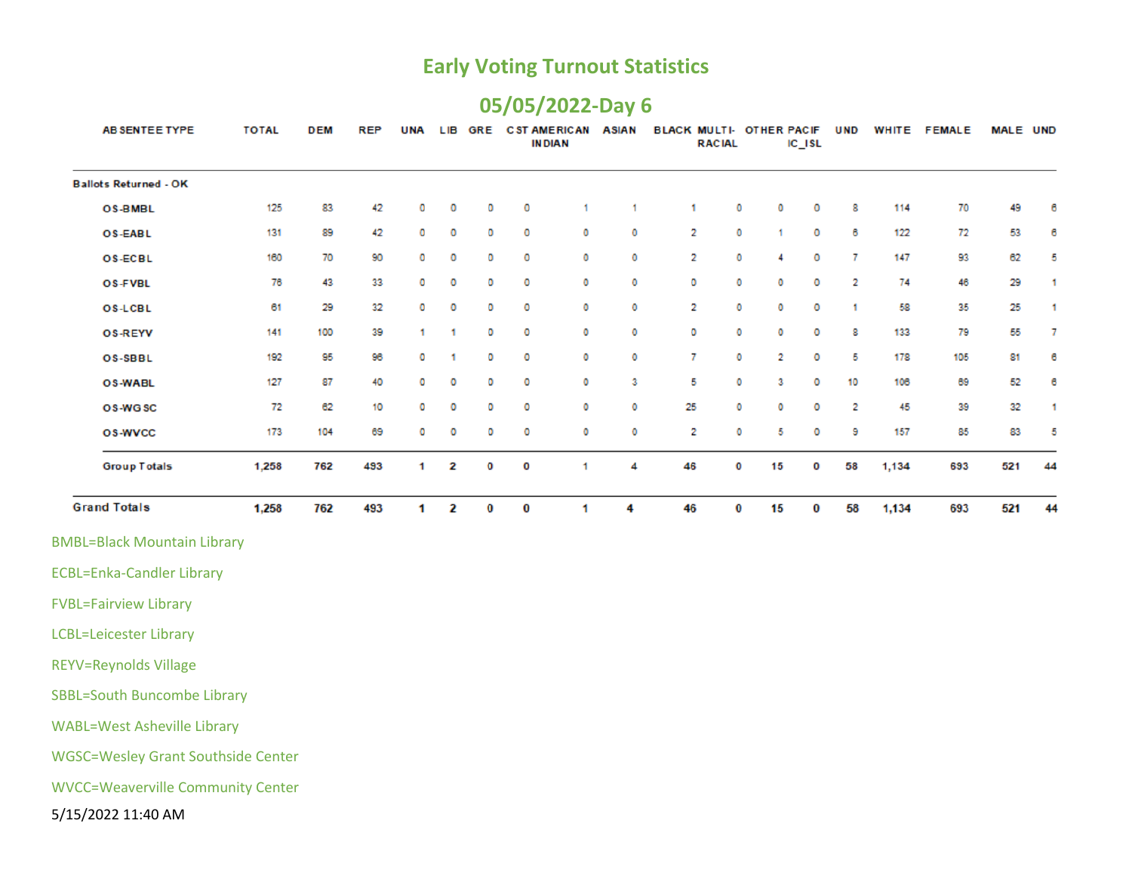# **05/05/2022-Day 6**

| AB SENTEE TYPE                            | <b>TOTAL</b> | <b>DEM</b> | <b>REP</b> | <b>UNA</b> | <b>LIB</b> | <b>GRE</b> |   | <b>CST AMERICAN</b><br><b>INDIAN</b> | <b>ASIAN</b> | BLACK MULTI- OTHER PACIF | <b>RACIAL</b> |    | $IC$ <sub>ISL</sub> | <b>UND</b> | WHITE | <b>FEMALE</b> | MALE UND |    |
|-------------------------------------------|--------------|------------|------------|------------|------------|------------|---|--------------------------------------|--------------|--------------------------|---------------|----|---------------------|------------|-------|---------------|----------|----|
| <b>Ballots Returned - OK</b>              |              |            |            |            |            |            |   |                                      |              |                          |               |    |                     |            |       |               |          |    |
| <b>OS-BMBL</b>                            | 125          | 83         | 42         | 0          | 0          | o          | 0 | 1                                    | 1            | 1                        | o             | 0  | o                   | 8          | 114   | 70            | 49       | 6  |
| <b>OS-EABL</b>                            | 131          | 89         | 42         | о          | o          | o          | 0 | 0                                    | 0            | 2                        | 0             | 1  | o                   | 6          | 122   | 72            | 53       | 6  |
| <b>OS-ECBL</b>                            | 160          | 70         | 90         | о          | o          | 0          | 0 | O                                    | 0            | 2                        | 0             | 4  | 0                   | 7          | 147   | 93            | 62       | 5  |
| <b>OS-FVBL</b>                            | 76           | 43         | 33         | o          | o          | o          | о | 0                                    | 0            | 0                        | o             | ٥  | o                   | 2          | 74    | 46            | 29       | 1  |
| <b>OS-LCBL</b>                            | 61           | 29         | 32         | о          | o          | o          | 0 | 0                                    | 0            | 2                        | ٥             | ٥  | ٥                   | 1          | 58    | 35            | 25       | 1  |
| <b>OS-REYV</b>                            | 141          | 100        | 39         | 1.         | 1          | o          | о | O                                    | 0            | o                        | 0             | ٥  | o                   | 8          | 133   | 79            | 55       | 7  |
| <b>OS-SBBL</b>                            | 192          | 95         | 96         | ٥          | 1          | 0          | 0 | o                                    | 0            | 7                        | ٥             | 2  | 0                   | 5          | 178   | 105           | 81       | 6  |
| <b>OS-WABL</b>                            | 127          | 87         | 40         | ٥          | o          | o          | ٥ | o                                    | з            | 5                        | ٥             | з  | ٥                   | 10         | 106   | 69            | 52       | 6  |
| OS-WGSC                                   | 72           | 62         | 10         | ٥          | o          | 0          | 0 | 0                                    | 0            | 25                       | o             | ٥  | 0                   | 2          | 45    | 39            | 32       | 1  |
| <b>OS-WVCC</b>                            | 173          | 104        | 69         | о          | o          | o          | 0 | o                                    | 0            | 2                        | o             | 5  | ٥                   | 9          | 157   | 85            | 83       | 5  |
| <b>Group Totals</b>                       | 1,258        | 762        | 493        | 1          | 2          | 0          | O | 1                                    | 4            | 46                       | 0             | 15 | 0                   | 58         | 1,134 | 693           | 521      | 44 |
| <b>Grand Totals</b>                       | 1,258        | 762        | 493        | 1          | 2          | 0          | 0 | 1                                    | 4            | 46                       | 0             | 15 | 0                   | 58         | 1,134 | 693           | 521      | 44 |
| <b>BMBL=Black Mountain Library</b>        |              |            |            |            |            |            |   |                                      |              |                          |               |    |                     |            |       |               |          |    |
| <b>ECBL=Enka-Candler Library</b>          |              |            |            |            |            |            |   |                                      |              |                          |               |    |                     |            |       |               |          |    |
| <b>FVBL=Fairview Library</b>              |              |            |            |            |            |            |   |                                      |              |                          |               |    |                     |            |       |               |          |    |
| <b>LCBL=Leicester Library</b>             |              |            |            |            |            |            |   |                                      |              |                          |               |    |                     |            |       |               |          |    |
| <b>REYV=Reynolds Village</b>              |              |            |            |            |            |            |   |                                      |              |                          |               |    |                     |            |       |               |          |    |
| <b>SBBL=South Buncombe Library</b>        |              |            |            |            |            |            |   |                                      |              |                          |               |    |                     |            |       |               |          |    |
| <b>WABL=West Asheville Library</b>        |              |            |            |            |            |            |   |                                      |              |                          |               |    |                     |            |       |               |          |    |
| <b>WGSC=Wesley Grant Southside Center</b> |              |            |            |            |            |            |   |                                      |              |                          |               |    |                     |            |       |               |          |    |
| <b>WVCC=Weaverville Community Center</b>  |              |            |            |            |            |            |   |                                      |              |                          |               |    |                     |            |       |               |          |    |
| 5/15/2022 11:40 AM                        |              |            |            |            |            |            |   |                                      |              |                          |               |    |                     |            |       |               |          |    |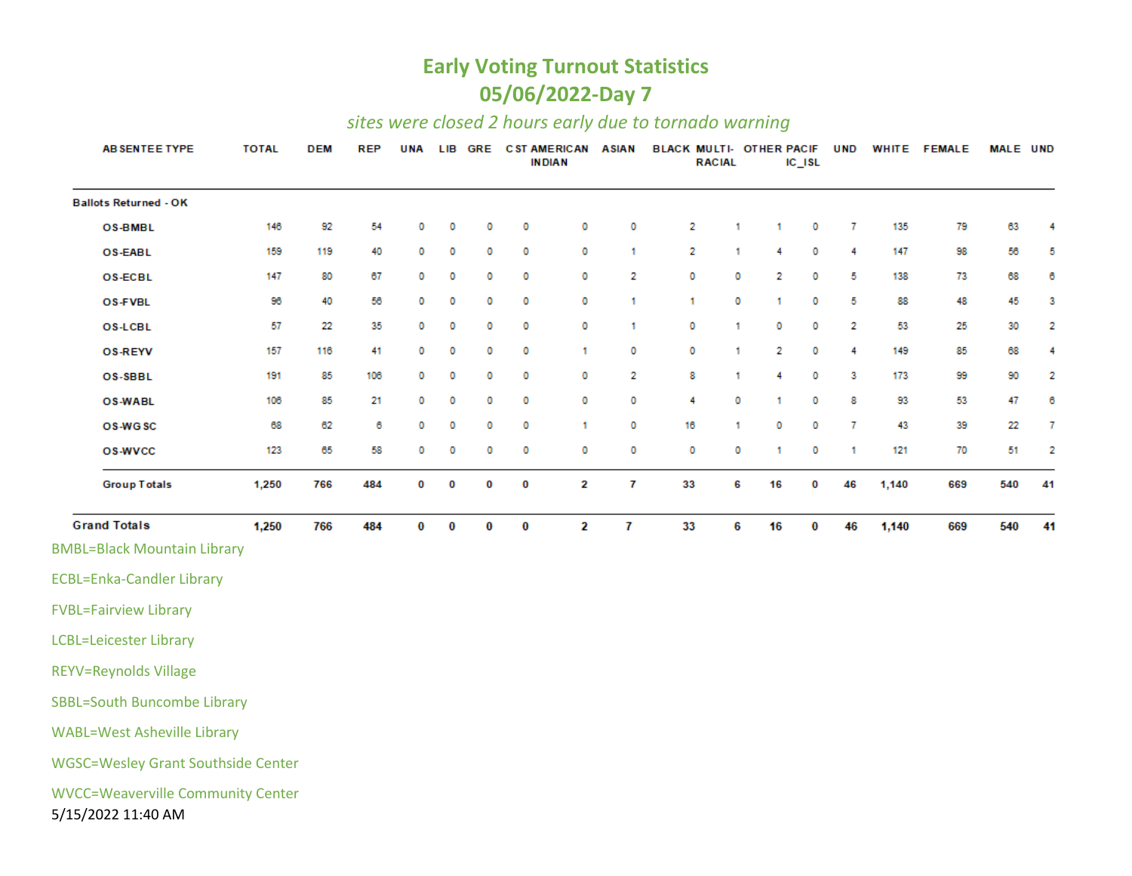#### **Early Voting Turnout Statistics 05/06/2022-Day 7**

#### *sites were closed 2 hours early due to tornado warning*

| <b>AB SENTEE TYPE</b>                                          | <b>TOTAL</b> | <b>DEM</b> | <b>REP</b> | <b>UNA</b> |   |          | LIB GRE CSTAMERICAN ASIAN | <b>IN DIAN</b> |   | <b>BLACK MULTI- OTHER PACIF</b> | <b>RACIAL</b> |    | $IC$ <sub>ISL</sub> | <b>UND</b> |       | WHITE FEMALE | MALE UND |    |
|----------------------------------------------------------------|--------------|------------|------------|------------|---|----------|---------------------------|----------------|---|---------------------------------|---------------|----|---------------------|------------|-------|--------------|----------|----|
| <b>Ballots Returned - OK</b>                                   |              |            |            |            |   |          |                           |                |   |                                 |               |    |                     |            |       |              |          |    |
| <b>OS-BMBL</b>                                                 | 146          | 92         | 54         | 0          | 0 | 0        | 0                         | 0              | 0 | 2                               | 1             | 1  | 0                   | 7          | 135   | 79           | 63       | 4  |
| <b>OS-EABL</b>                                                 | 159          | 119        | 40         | 0          | 0 | 0        | 0                         | 0              | 1 | 2                               | 1             | 4  | 0                   | 4          | 147   | 98           | 56       | 5  |
| <b>OS-ECBL</b>                                                 | 147          | 80         | 67         | 0          | 0 | 0        | 0                         | 0              | 2 | 0                               | 0             | 2  | 0                   | 5          | 138   | 73           | 68       | 6  |
| <b>OS-FVBL</b>                                                 | 96           | 40         | 56         | 0          | 0 | 0        | 0                         | 0              | 1 | 1                               | 0             | 1  | 0                   | 5          | 88    | 48           | 45       | 3  |
| <b>OS-LCBL</b>                                                 | 57           | 22         | 35         | 0          | 0 | 0        | 0                         | 0              | 1 | o                               | 1             | 0  | 0                   | 2          | 53    | 25           | 30       | 2  |
| <b>OS-REYV</b>                                                 | 157          | 116        | 41         | 0          | 0 | 0        | 0                         | 1              | 0 | 0                               | 1             | 2  | 0                   | 4          | 149   | 85           | 68       | 4  |
| OS-SBBL                                                        | 191          | 85         | 106        | 0          | 0 | 0        | 0                         | 0              | 2 | 8                               | 1             | 4  | 0                   | 3          | 173   | 99           | 90       | 2  |
| <b>OS-WABL</b>                                                 | 106          | 85         | 21         | 0          | 0 | 0        | 0                         | 0              | 0 | 4                               | 0             | 1  | 0                   | 8          | 93    | 53           | 47       | 6  |
| OS-WGSC                                                        | 68           | 62         | 6          | 0          | 0 | 0        | 0                         | 1              | 0 | 16                              | 1             | 0  | 0                   | 7          | 43    | 39           | 22       | 7  |
| <b>OS-WVCC</b>                                                 | 123          | 65         | 58         | 0          | 0 | 0        | 0                         | 0              | 0 | o                               | 0             | 1  | 0                   | 1          | 121   | 70           | 51       | 2  |
| <b>Group Totals</b>                                            | 1,250        | 766        | 484        | 0          | 0 | 0        | 0                         | 2              | 7 | 33                              | 6             | 16 | 0                   | 46         | 1,140 | 669          | 540      | 41 |
| <b>Grand Totals</b>                                            | 1,250        | 766        | 484        | 0          | 0 | $\bf{0}$ | 0                         | $\mathbf{2}$   | 7 | 33                              | 6             | 16 | 0                   | 46         | 1,140 | 669          | 540      | 41 |
| <b>BMBL=Black Mountain Library</b>                             |              |            |            |            |   |          |                           |                |   |                                 |               |    |                     |            |       |              |          |    |
| <b>ECBL=Enka-Candler Library</b>                               |              |            |            |            |   |          |                           |                |   |                                 |               |    |                     |            |       |              |          |    |
| <b>FVBL=Fairview Library</b>                                   |              |            |            |            |   |          |                           |                |   |                                 |               |    |                     |            |       |              |          |    |
| <b>LCBL=Leicester Library</b>                                  |              |            |            |            |   |          |                           |                |   |                                 |               |    |                     |            |       |              |          |    |
| <b>REYV=Reynolds Village</b>                                   |              |            |            |            |   |          |                           |                |   |                                 |               |    |                     |            |       |              |          |    |
| <b>SBBL=South Buncombe Library</b>                             |              |            |            |            |   |          |                           |                |   |                                 |               |    |                     |            |       |              |          |    |
| <b>WABL=West Asheville Library</b>                             |              |            |            |            |   |          |                           |                |   |                                 |               |    |                     |            |       |              |          |    |
| <b>WGSC=Wesley Grant Southside Center</b>                      |              |            |            |            |   |          |                           |                |   |                                 |               |    |                     |            |       |              |          |    |
| <b>WVCC=Weaverville Community Center</b><br>5/15/2022 11:40 AM |              |            |            |            |   |          |                           |                |   |                                 |               |    |                     |            |       |              |          |    |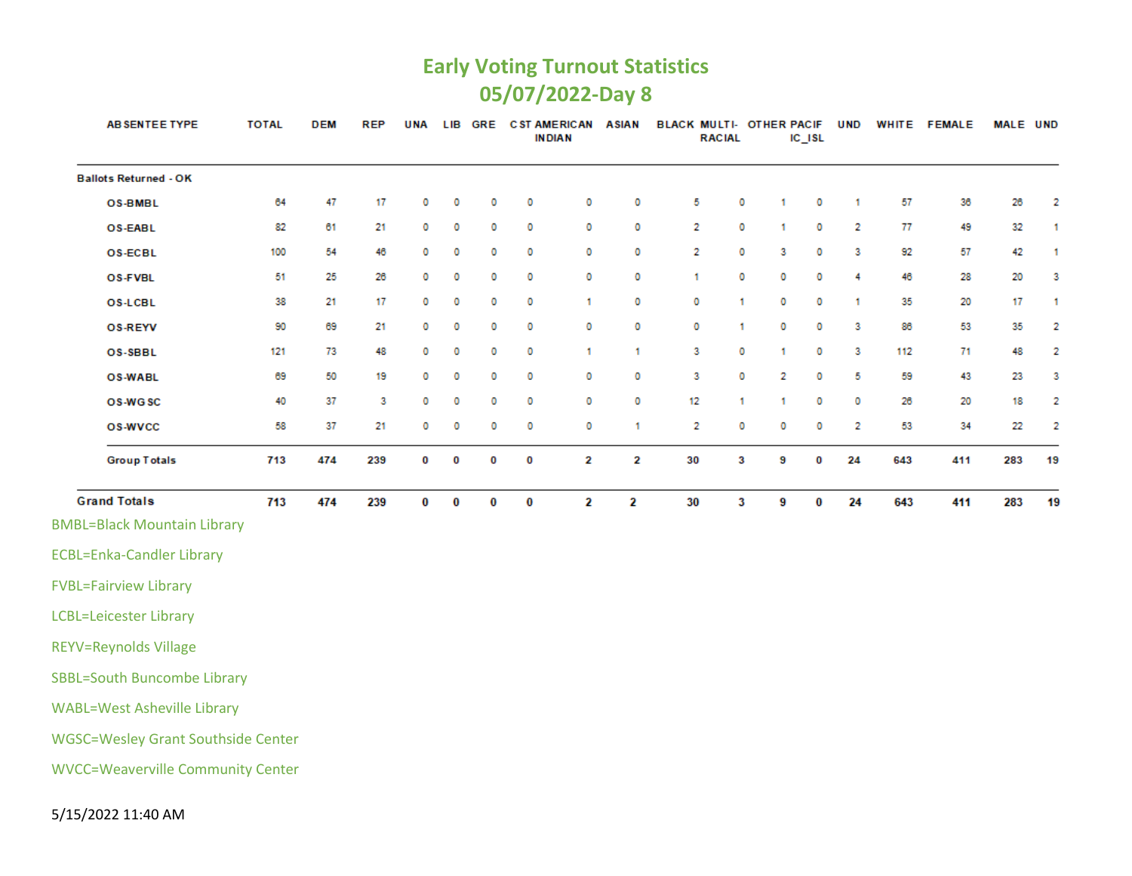#### **Early Voting Turnout Statistics 05/07/2022-Day 8**

| AB SENTEE TYPE                            | <b>TOTAL</b> | <b>DEM</b> | <b>REP</b> | <b>UNA</b> | LIB | GRE |          | <b>C ST AMERICAN</b><br><b>INDIAN</b> | <b>ASIAN</b> | BLACK MULTI- OTHER PACIF | <b>RACIAL</b> |   | $IC$ $ISL$ | <b>UND</b>   |     | WHITE FEMALE | <b>MALE UND</b> |              |
|-------------------------------------------|--------------|------------|------------|------------|-----|-----|----------|---------------------------------------|--------------|--------------------------|---------------|---|------------|--------------|-----|--------------|-----------------|--------------|
| <b>Ballots Returned - OK</b>              |              |            |            |            |     |     |          |                                       |              |                          |               |   |            |              |     |              |                 |              |
| <b>OS-BMBL</b>                            | 64           | 47         | 17         | 0          | 0   | o   | 0        | 0                                     | 0            | 5                        | 0             | 1 | 0          | 1            | 57  | 36           | 26              | 2            |
| OS-EABL                                   | 82           | 61         | 21         | 0          | 0   | 0   | 0        | 0                                     | 0            | 2                        | 0             | 1 | 0          | 2            | 77  | 49           | 32              | $\mathbf{1}$ |
| <b>OS-ECBL</b>                            | 100          | 54         | 46         | 0          | 0   | 0   | 0        | 0                                     | 0            | $\overline{2}$           | 0             | 3 | o          | 3            | 92  | 57           | 42              | -1           |
| OS-FVBL                                   | 51           | 25         | 26         | 0          | 0   | o   | 0        | 0                                     | 0            | 1                        | 0             | 0 | o          | 4            | 46  | 28           | 20              | 3            |
| <b>OS-LCBL</b>                            | 38           | 21         | 17         | 0          | 0   | 0   | 0        | 1                                     | o            | 0                        | 1             | 0 | 0          | $\mathbf{1}$ | 35  | 20           | 17              | -1           |
| <b>OS-REYV</b>                            | 90           | 69         | 21         | 0          | 0   | 0   | 0        | 0                                     | 0            | 0                        | 1             | 0 | o          | 3            | 86  | 53           | 35              | 2            |
| OS-SBBL                                   | 121          | 73         | 48         | 0          | 0   | o   | 0        | 1                                     | 1            | 3                        | 0             | 1 | 0          | 3            | 112 | 71           | 48              | 2            |
| <b>OS-WABL</b>                            | 69           | 50         | 19         | 0          | o   | 0   | 0        | 0                                     | 0            | 3                        | 0             | 2 | 0          | 5            | 59  | 43           | 23              | 3            |
| OS-WGSC                                   | 40           | 37         | 3          | 0          | 0   | 0   | 0        | 0                                     | 0            | 12                       | 1             | 1 | 0          | 0            | 26  | 20           | 18              | 2            |
| <b>OS-WVCC</b>                            | 58           | 37         | 21         | 0          | 0   | o   | 0        | 0                                     | 1            | 2                        | 0             | 0 | 0          | 2            | 53  | 34           | 22              | 2            |
| <b>Group Totals</b>                       | 713          | 474        | 239        | O          | O   | 0   | 0        | 2                                     | 2            | 30                       | 3             | 9 | 0          | 24           | 643 | 411          | 283             | 19           |
| <b>Grand Totals</b>                       | 713          | 474        | 239        | 0          | 0   | 0   | $\bf{0}$ | 2                                     | 2            | 30                       | 3             | 9 | $\bf{0}$   | 24           | 643 | 411          | 283             | 19           |
| <b>BMBL=Black Mountain Library</b>        |              |            |            |            |     |     |          |                                       |              |                          |               |   |            |              |     |              |                 |              |
| <b>ECBL=Enka-Candler Library</b>          |              |            |            |            |     |     |          |                                       |              |                          |               |   |            |              |     |              |                 |              |
| <b>FVBL=Fairview Library</b>              |              |            |            |            |     |     |          |                                       |              |                          |               |   |            |              |     |              |                 |              |
| <b>LCBL=Leicester Library</b>             |              |            |            |            |     |     |          |                                       |              |                          |               |   |            |              |     |              |                 |              |
| <b>REYV=Reynolds Village</b>              |              |            |            |            |     |     |          |                                       |              |                          |               |   |            |              |     |              |                 |              |
| <b>SBBL=South Buncombe Library</b>        |              |            |            |            |     |     |          |                                       |              |                          |               |   |            |              |     |              |                 |              |
| <b>WABL=West Asheville Library</b>        |              |            |            |            |     |     |          |                                       |              |                          |               |   |            |              |     |              |                 |              |
| <b>WGSC=Wesley Grant Southside Center</b> |              |            |            |            |     |     |          |                                       |              |                          |               |   |            |              |     |              |                 |              |
| <b>WVCC=Weaverville Community Center</b>  |              |            |            |            |     |     |          |                                       |              |                          |               |   |            |              |     |              |                 |              |

5/15/2022 11:40 AM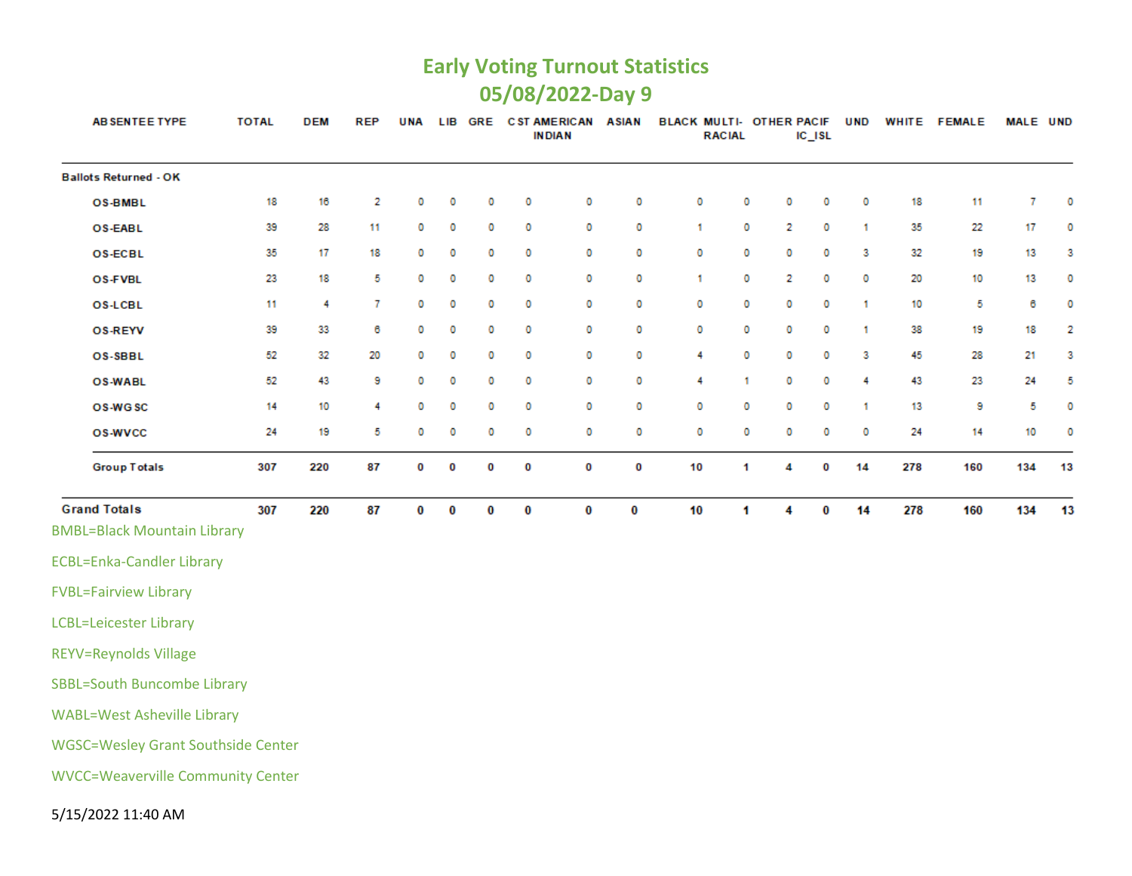#### **Early Voting Turnout Statistics 05/08/2022-Day 9**

| <b>AB SENTEE TYPE</b>                     | <b>TOTAL</b> | <b>DEM</b> | <b>REP</b> | UNA      |   |          | LIB GRE CST AMERICAN | <b>IN DIAN</b> | <b>ASIAN</b> | <b>BLACK MULTI- OTHER PACIF</b> | <b>RACIAL</b> |   | $IC$ $ISL$ | <b>UND</b> |     | WHITE FEMALE | <b>MALE UND</b> |    |
|-------------------------------------------|--------------|------------|------------|----------|---|----------|----------------------|----------------|--------------|---------------------------------|---------------|---|------------|------------|-----|--------------|-----------------|----|
| <b>Ballots Returned - OK</b>              |              |            |            |          |   |          |                      |                |              |                                 |               |   |            |            |     |              |                 |    |
| <b>OS-BMBL</b>                            | 18           | 16         | 2          | 0        | o | 0        | 0                    | 0              | 0            | 0                               | 0             | 0 | 0          | 0          | 18  | 11           | 7               | 0  |
| <b>OS-EABL</b>                            | 39           | 28         | 11         | 0        | 0 | 0        | 0                    | 0              | 0            | 1                               | 0             | 2 | 0          | 1          | 35  | 22           | 17              | 0  |
| <b>OS-ECBL</b>                            | 35           | 17         | 18         | 0        | 0 | 0        | 0                    | 0              | 0            | 0                               | 0             | 0 | 0          | 3          | 32  | 19           | 13              | З  |
| OS-FVBL                                   | 23           | 18         | 5          | 0        | 0 | 0        | 0                    | 0              | 0            | 1                               | 0             | 2 | 0          | 0          | 20  | 10           | 13              | 0  |
| <b>OS-LCBL</b>                            | 11           | 4          | 7          | 0        | 0 | 0        | 0                    | 0              | 0            | 0                               | 0             | 0 | 0          | 1          | 10  | 5            | 6               | 0  |
| <b>OS-REYV</b>                            | 39           | 33         | 6          | 0        | 0 | 0        | 0                    | 0              | 0            | 0                               | 0             | 0 | 0          | 1          | 38  | 19           | 18              | 2  |
| OS-SBBL                                   | 52           | 32         | 20         | 0        | 0 | 0        | 0                    | 0              | 0            | 4                               | 0             | ٥ | 0          | з          | 45  | 28           | 21              | 3  |
| <b>OS-WABL</b>                            | 52           | 43         | э          | 0        | 0 | 0        | 0                    | 0              | 0            | 4                               | 1             | 0 | 0          | 4          | 43  | 23           | 24              | 5  |
| OS-WGSC                                   | 14           | 10         | 4          | 0        | 0 | 0        | 0                    | 0              | 0            | 0                               | 0             | 0 | 0          | 1          | 13  | 9            | 5               | o  |
| <b>OS-WVCC</b>                            | 24           | 19         | 5          | 0        | o | 0        | 0                    | 0              | 0            | o                               | 0             | 0 | 0          | o          | 24  | 14           | 10              | 0  |
| <b>Group Totals</b>                       | 307          | 220        | 87         | 0        | 0 | 0        | 0                    | 0              | 0            | 10                              | 1             | 4 | 0          | 14         | 278 | 160          | 134             | 13 |
| <b>Grand Totals</b>                       | 307          | 220        | 87         | $\bf{0}$ | 0 | $\bf{0}$ | $\bf{0}$             | 0              | $\bf{0}$     | 10                              | 1             | 4 | $\bf{0}$   | 14         | 278 | 160          | 134             | 13 |
| <b>BMBL=Black Mountain Library</b>        |              |            |            |          |   |          |                      |                |              |                                 |               |   |            |            |     |              |                 |    |
| <b>ECBL=Enka-Candler Library</b>          |              |            |            |          |   |          |                      |                |              |                                 |               |   |            |            |     |              |                 |    |
| <b>FVBL=Fairview Library</b>              |              |            |            |          |   |          |                      |                |              |                                 |               |   |            |            |     |              |                 |    |
| <b>LCBL=Leicester Library</b>             |              |            |            |          |   |          |                      |                |              |                                 |               |   |            |            |     |              |                 |    |
| <b>REYV=Reynolds Village</b>              |              |            |            |          |   |          |                      |                |              |                                 |               |   |            |            |     |              |                 |    |
| <b>SBBL=South Buncombe Library</b>        |              |            |            |          |   |          |                      |                |              |                                 |               |   |            |            |     |              |                 |    |
| <b>WABL=West Asheville Library</b>        |              |            |            |          |   |          |                      |                |              |                                 |               |   |            |            |     |              |                 |    |
| <b>WGSC=Wesley Grant Southside Center</b> |              |            |            |          |   |          |                      |                |              |                                 |               |   |            |            |     |              |                 |    |
| <b>WVCC=Weaverville Community Center</b>  |              |            |            |          |   |          |                      |                |              |                                 |               |   |            |            |     |              |                 |    |
|                                           |              |            |            |          |   |          |                      |                |              |                                 |               |   |            |            |     |              |                 |    |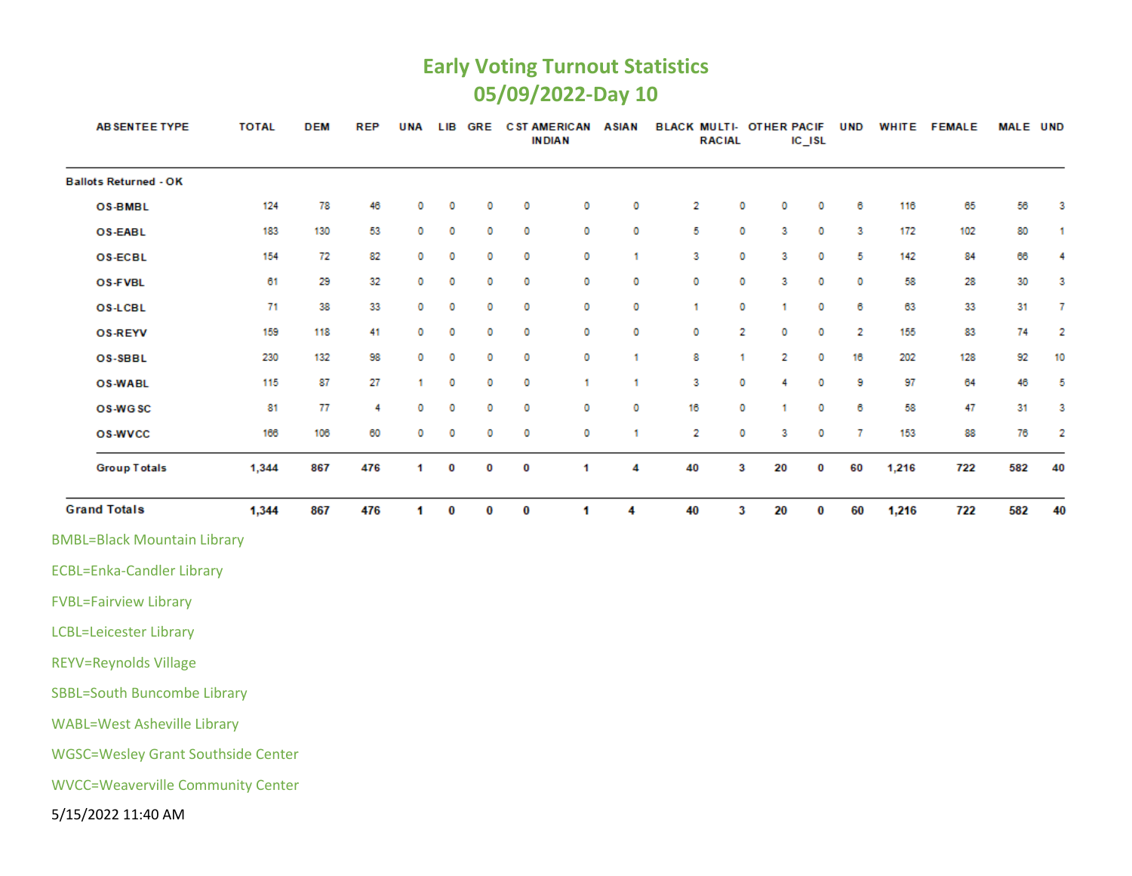### **Early Voting Turnout Statistics 05/09/2022-Day 10**

| AB SENTEE TYPE                            | <b>TOTAL</b> | <b>DEM</b> | REP | <b>UNA</b> | LIB      | GRE      |          | <b>CST AMERICAN</b><br><b>INDIAN</b> | <b>ASIAN</b> | BLACK MULTI- OTHER PACIF | <b>RACIAL</b> |    | $IC$ $ISL$ | <b>UND</b>     |       | WHITE FEMALE | MALE UND |    |
|-------------------------------------------|--------------|------------|-----|------------|----------|----------|----------|--------------------------------------|--------------|--------------------------|---------------|----|------------|----------------|-------|--------------|----------|----|
| <b>Ballots Returned - OK</b>              |              |            |     |            |          |          |          |                                      |              |                          |               |    |            |                |       |              |          |    |
| <b>OS-BMBL</b>                            | 124          | 78         | 46  | 0          | 0        | 0        | 0        | 0                                    | 0            | 2                        | 0             | 0  | 0          | 6              | 116   | 65           | 56       | з  |
| <b>OS-EABL</b>                            | 183          | 130        | 53  | 0          | 0        | 0        | 0        | 0                                    | 0            | 5                        | 0             | з  | 0          | 3              | 172   | 102          | 80       | 1  |
| OS-ECBL                                   | 154          | 72         | 82  | 0          | 0        | 0        | 0        | 0                                    | 1            | 3                        | 0             | 3  | 0          | 5              | 142   | 84           | 66       | 4  |
| <b>OS-FVBL</b>                            | 61           | 29         | 32  | 0          | 0        | 0        | 0        | 0                                    | 0            | 0                        | 0             | 3  | 0          | 0              | 58    | 28           | 30       | з  |
| <b>OS-LCBL</b>                            | 71           | 38         | 33  | 0          | 0        | 0        | 0        | 0                                    | 0            | 1                        | 0             | 1  | 0          | 6              | 63    | 33           | 31       | 7  |
| <b>OS-REYV</b>                            | 159          | 118        | 41  | 0          | o        | 0        | 0        | 0                                    | 0            | 0                        | 2             | 0  | 0          | 2              | 155   | 83           | 74       | 2  |
| OS-SBBL                                   | 230          | 132        | 98  | o          | 0        | 0        | 0        | o                                    | 1            | 8                        | 1             | 2  | 0          | 16             | 202   | 128          | 92       | 10 |
| <b>OS-WABL</b>                            | 115          | 87         | 27  | 1          | 0        | 0        | o        | 1                                    | 1            | 3                        | 0             | 4  | 0          | 9              | 97    | 64           | 46       | 5  |
| OS-WGSC                                   | 81           | 77         | 4   | 0          | 0        | 0        | 0        | 0                                    | 0            | 16                       | 0             | 1  | 0          | 6              | 58    | 47           | 31       | 3  |
| <b>OS-WVCC</b>                            | 166          | 106        | 60  | 0          | 0        | 0        | 0        | 0                                    | 1.           | 2                        | 0             | 3  | 0          | $\overline{7}$ | 153   | 88           | 76       | 2  |
| <b>Group Totals</b>                       | 1,344        | 867        | 476 | 1          | 0        | 0        | 0        | 1                                    | 4            | 40                       | 3             | 20 | 0          | 60             | 1,216 | 722          | 582      | 40 |
| <b>Grand Totals</b>                       | 1,344        | 867        | 476 | 1.         | $\bf{0}$ | $\bf{0}$ | $\bf{0}$ | 1                                    | 4            | 40                       | 3             | 20 | $\bf{0}$   | 60             | 1,216 | 722          | 582      | 40 |
| <b>BMBL=Black Mountain Library</b>        |              |            |     |            |          |          |          |                                      |              |                          |               |    |            |                |       |              |          |    |
| <b>ECBL=Enka-Candler Library</b>          |              |            |     |            |          |          |          |                                      |              |                          |               |    |            |                |       |              |          |    |
| <b>FVBL=Fairview Library</b>              |              |            |     |            |          |          |          |                                      |              |                          |               |    |            |                |       |              |          |    |
| <b>LCBL=Leicester Library</b>             |              |            |     |            |          |          |          |                                      |              |                          |               |    |            |                |       |              |          |    |
| <b>REYV=Reynolds Village</b>              |              |            |     |            |          |          |          |                                      |              |                          |               |    |            |                |       |              |          |    |
| <b>SBBL=South Buncombe Library</b>        |              |            |     |            |          |          |          |                                      |              |                          |               |    |            |                |       |              |          |    |
| <b>WABL=West Asheville Library</b>        |              |            |     |            |          |          |          |                                      |              |                          |               |    |            |                |       |              |          |    |
| <b>WGSC=Wesley Grant Southside Center</b> |              |            |     |            |          |          |          |                                      |              |                          |               |    |            |                |       |              |          |    |
| <b>WVCC=Weaverville Community Center</b>  |              |            |     |            |          |          |          |                                      |              |                          |               |    |            |                |       |              |          |    |
| 5/15/2022 11:40 AM                        |              |            |     |            |          |          |          |                                      |              |                          |               |    |            |                |       |              |          |    |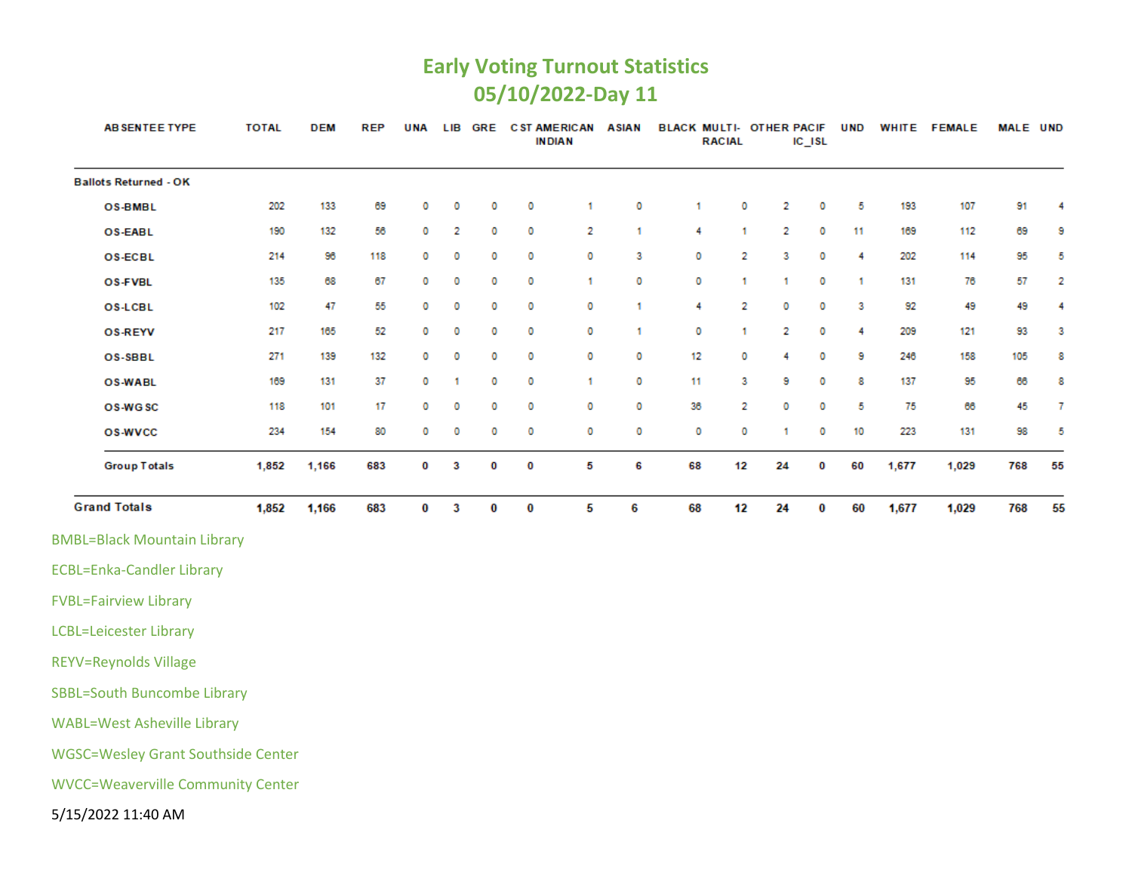#### **Early Voting Turnout Statistics 05/10/2022-Day 11**

| AB SENTEE TYPE                            | <b>TOTAL</b> | <b>DEM</b> | <b>REP</b> | <b>UNA</b> | LIB |   |   | <b>GRE CST AMERICAN</b><br><b>INDIAN</b> | <b>ASIAN</b> | BLACK MULTI- OTHER PACIF | <b>RACIAL</b> |    | IC_ISL | <b>UND</b> |       | WHITE FEMALE | <b>MALE UND</b> |    |
|-------------------------------------------|--------------|------------|------------|------------|-----|---|---|------------------------------------------|--------------|--------------------------|---------------|----|--------|------------|-------|--------------|-----------------|----|
| <b>Ballots Returned - OK</b>              |              |            |            |            |     |   |   |                                          |              |                          |               |    |        |            |       |              |                 |    |
| OS-BMBL                                   | 202          | 133        | 69         | 0          | o   | 0 | 0 | 1                                        | 0            | 1                        | 0             | 2  | 0      | 5          | 193   | 107          | 91              | 4  |
| OS-EABL                                   | 190          | 132        | 56         | 0          | 2   | 0 | 0 | 2                                        | 1            | 4                        | 1             | 2  | 0      | 11         | 169   | 112          | 69              | 9  |
| <b>OS-ECBL</b>                            | 214          | 96         | 118        | 0          | 0   | 0 | 0 | 0                                        | 3            | 0                        | 2             | 3  | 0      | 4          | 202   | 114          | 95              | 5  |
| OS-FVBL                                   | 135          | 68         | 67         | 0          | 0   | 0 | 0 | -1                                       | 0            | 0                        | 1             | 1  | 0      | 1          | 131   | 76           | 57              | 2  |
| <b>OS-LCBL</b>                            | 102          | 47         | 55         | 0          | 0   | 0 | 0 | 0                                        | 1            | 4                        | 2             | 0  | 0      | 3          | 92    | 49           | 49              | 4  |
| <b>OS-REYV</b>                            | 217          | 165        | 52         | 0          | 0   | 0 | 0 | o                                        | 1            | 0                        | 1             | 2  | 0      | 4          | 209   | 121          | 93              | 3  |
| OS-SBBL                                   | 271          | 139        | 132        | 0          | 0   | 0 | 0 | 0                                        | 0            | 12                       | 0             | 4  | 0      | 9          | 246   | 158          | 105             | 8  |
| <b>OS-WABL</b>                            | 169          | 131        | 37         | 0          | 1   | 0 | 0 | 1                                        | 0            | 11                       | 3             | 9  | 0      | 8          | 137   | 95           | 66              | 8  |
| OS-WGSC                                   | 118          | 101        | 17         | 0          | 0   | 0 | 0 | 0                                        | o            | 36                       | 2             | 0  | 0      | 5          | 75    | 66           | 45              | 7  |
| <b>OS-WVCC</b>                            | 234          | 154        | 80         | 0          | 0   | 0 | 0 | 0                                        | 0            | 0                        | 0             | 1  | 0      | 10         | 223   | 131          | 98              | 5  |
| <b>Group Totals</b>                       | 1,852        | 1,166      | 683        | o          | 3   | O | 0 | 5                                        | 6            | 68                       | 12            | 24 | 0      | 60         | 1,677 | 1,029        | 768             | 55 |
| <b>Grand Totals</b>                       | 1,852        | 1,166      | 683        | 0          | 3   | 0 | 0 | 5                                        | 6            | 68                       | 12            | 24 | 0      | 60         | 1,677 | 1,029        | 768             | 55 |
| <b>BMBL=Black Mountain Library</b>        |              |            |            |            |     |   |   |                                          |              |                          |               |    |        |            |       |              |                 |    |
| <b>ECBL=Enka-Candler Library</b>          |              |            |            |            |     |   |   |                                          |              |                          |               |    |        |            |       |              |                 |    |
| <b>FVBL=Fairview Library</b>              |              |            |            |            |     |   |   |                                          |              |                          |               |    |        |            |       |              |                 |    |
| <b>LCBL=Leicester Library</b>             |              |            |            |            |     |   |   |                                          |              |                          |               |    |        |            |       |              |                 |    |
| <b>REYV=Reynolds Village</b>              |              |            |            |            |     |   |   |                                          |              |                          |               |    |        |            |       |              |                 |    |
| <b>SBBL=South Buncombe Library</b>        |              |            |            |            |     |   |   |                                          |              |                          |               |    |        |            |       |              |                 |    |
| <b>WABL=West Asheville Library</b>        |              |            |            |            |     |   |   |                                          |              |                          |               |    |        |            |       |              |                 |    |
| <b>WGSC=Wesley Grant Southside Center</b> |              |            |            |            |     |   |   |                                          |              |                          |               |    |        |            |       |              |                 |    |
| <b>WVCC=Weaverville Community Center</b>  |              |            |            |            |     |   |   |                                          |              |                          |               |    |        |            |       |              |                 |    |
| 5/15/2022 11:40 AM                        |              |            |            |            |     |   |   |                                          |              |                          |               |    |        |            |       |              |                 |    |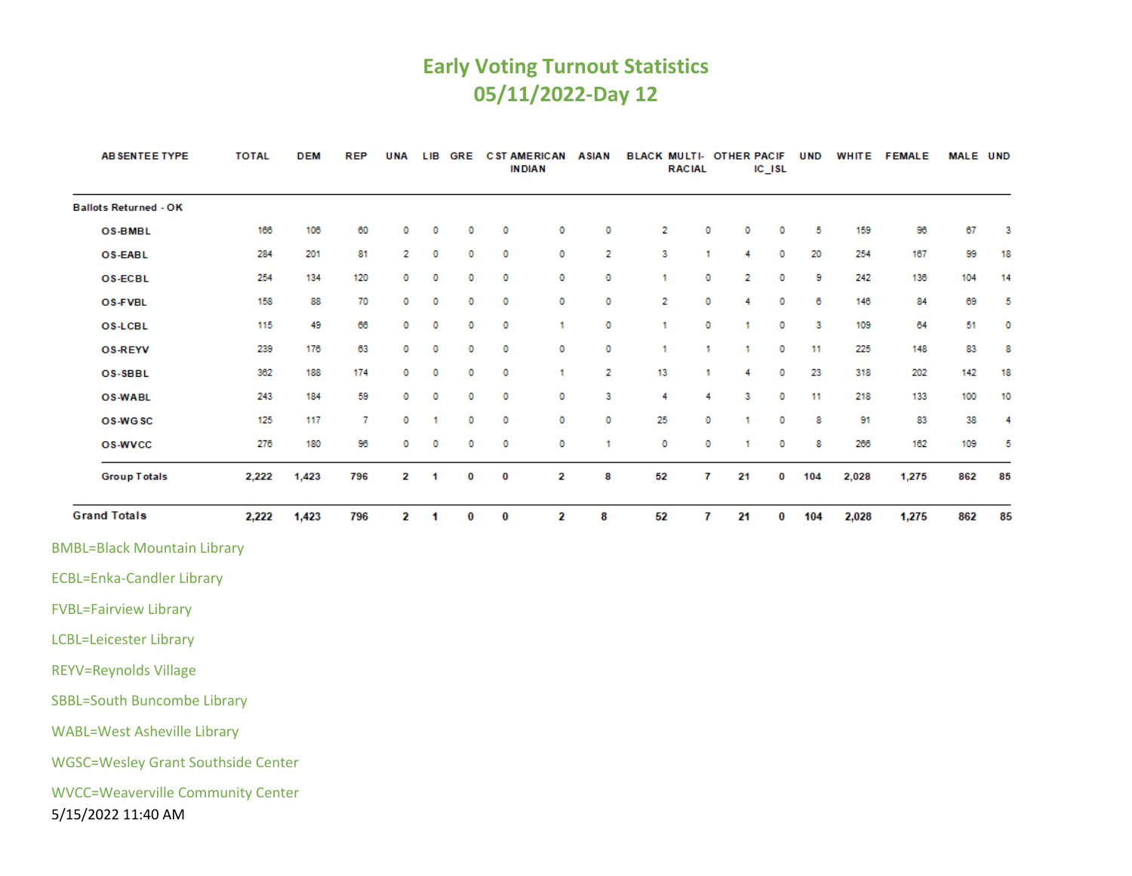### **Early Voting Turnout Statistics 05/11/2022-Day 12**

| <b>AB SENTEE TYPE</b>                                          | <b>TOTAL</b> | <b>DEM</b> | <b>REP</b> | <b>UNA</b>              |   | LIB GRE  |          | <b>CST AMERICAN ASIAN</b><br><b>INDIAN</b> |         | BLACK MULTI- OTHER PACIF | <b>RACIAL</b>           |         | IC_ISL | <b>UND</b> |       | WHITE FEMALE | MALE UND |    |
|----------------------------------------------------------------|--------------|------------|------------|-------------------------|---|----------|----------|--------------------------------------------|---------|--------------------------|-------------------------|---------|--------|------------|-------|--------------|----------|----|
| <b>Ballots Returned - OK</b>                                   |              |            |            |                         |   |          |          |                                            |         |                          |                         |         |        |            |       |              |          |    |
| <b>OS-BMBL</b>                                                 | 166          | 106        | 60         | o                       | 0 | o        | 0        | 0                                          | 0       | 2                        | 0                       | 0       | 0      | 5          | 159   | 96           | 67       | 3  |
| <b>OS-EABL</b>                                                 | 284          | 201        | 81         | 2                       | 0 | 0        | 0        | 0                                          | 2       | 3                        | 1.                      | 4       | 0      | 20         | 254   | 167          | 99       | 18 |
| <b>OS-ECBL</b>                                                 | 254          | 134        | 120        | 0                       | 0 | 0        | O        | 0                                          | 0       | 1                        | 0                       | 2       | 0      | 9          | 242   | 136          | 104      | 14 |
| <b>OS-FVBL</b>                                                 | 158          | 88         | 70         | 0                       | 0 | 0        | o        | 0                                          | 0       | 2                        | 0                       | 4       | 0      | 6          | 146   | 84           | 69       | 5  |
| <b>OS-LCBL</b>                                                 | 115          | 49         | 66         | 0                       | 0 | 0        | o        | 1                                          | 0       | 1                        | 0                       | 1       | 0      | 3          | 109   | 64           | 51       | 0  |
| <b>OS-REYV</b>                                                 | 239          | 176        | 63         | 0                       | 0 | 0        | 0        | 0                                          | 0       | 1                        | 1.                      | 1.      | 0      | 11         | 225   | 148          | 83       | 8  |
| OS-SBBL                                                        | 362          | 188        | 174        | 0                       | 0 | 0        | 0        | 1                                          | 2       | 13                       | 1.                      | 4       | 0      | 23         | 318   | 202          | 142      | 18 |
| <b>OS-WABL</b>                                                 | 243          | 184        | 59         | 0                       | 0 | 0        | o        | 0                                          | 3       | 4                        | 4                       | 3       | 0      | 11         | 218   | 133          | 100      | 10 |
| OS-WGSC                                                        | 125          | 117        | 7          | 0                       | 1 | o        | 0<br>0   | 0<br>0                                     | 0<br>1. | 25<br>0                  | 0<br>0                  | 1.<br>1 | 0      | 8<br>8     | 91    | 83<br>162    | 38       | 4  |
| <b>OS-WVCC</b>                                                 | 276          | 180        | 96         | 0                       | 0 | 0        |          |                                            |         |                          |                         |         | 0      |            | 266   |              | 109      | 5  |
| <b>Group Totals</b>                                            | 2,222        | 1,423      | 796        | 2                       | 1 | 0        | 0        | 2                                          | 8       | 52                       | 7                       | 21      | 0      | 104        | 2,028 | 1,275        | 862      | 85 |
| <b>Grand Totals</b>                                            | 2,222        | 1,423      | 796        | $\overline{\mathbf{2}}$ | 1 | $\bf{0}$ | $\bf{0}$ | $\overline{\mathbf{2}}$                    | 8       | 52                       | $\overline{\mathbf{r}}$ | 21      | 0      | 104        | 2,028 | 1,275        | 862      | 85 |
| <b>BMBL=Black Mountain Library</b>                             |              |            |            |                         |   |          |          |                                            |         |                          |                         |         |        |            |       |              |          |    |
| <b>ECBL=Enka-Candler Library</b>                               |              |            |            |                         |   |          |          |                                            |         |                          |                         |         |        |            |       |              |          |    |
| <b>FVBL=Fairview Library</b>                                   |              |            |            |                         |   |          |          |                                            |         |                          |                         |         |        |            |       |              |          |    |
| <b>LCBL=Leicester Library</b>                                  |              |            |            |                         |   |          |          |                                            |         |                          |                         |         |        |            |       |              |          |    |
| <b>REYV=Reynolds Village</b>                                   |              |            |            |                         |   |          |          |                                            |         |                          |                         |         |        |            |       |              |          |    |
| <b>SBBL=South Buncombe Library</b>                             |              |            |            |                         |   |          |          |                                            |         |                          |                         |         |        |            |       |              |          |    |
| <b>WABL=West Asheville Library</b>                             |              |            |            |                         |   |          |          |                                            |         |                          |                         |         |        |            |       |              |          |    |
| <b>WGSC=Wesley Grant Southside Center</b>                      |              |            |            |                         |   |          |          |                                            |         |                          |                         |         |        |            |       |              |          |    |
| <b>WVCC=Weaverville Community Center</b><br>5/15/2022 11:40 AM |              |            |            |                         |   |          |          |                                            |         |                          |                         |         |        |            |       |              |          |    |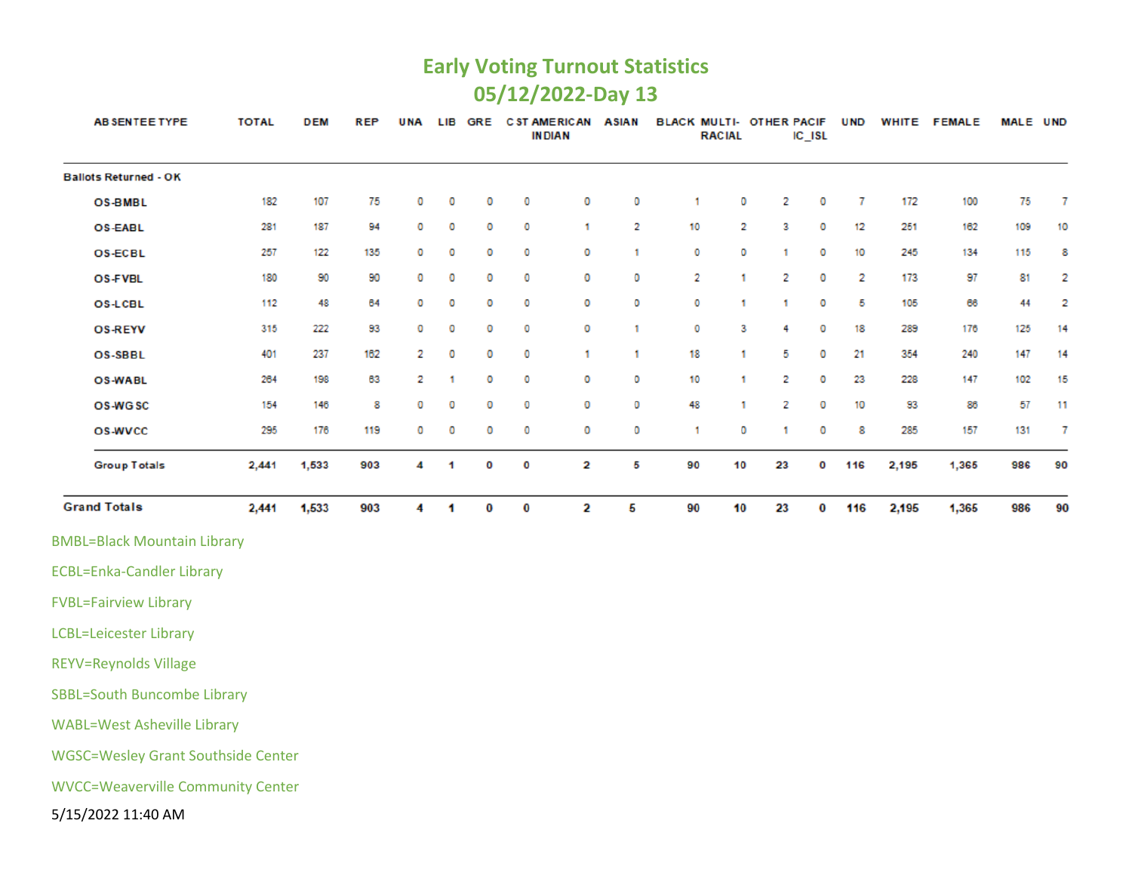#### **Early Voting Turnout Statistics 05/12/2022-Day 13**

| <b>ABSENTEE TYPE</b>                      | <b>TOTAL</b> | <b>DEM</b> | <b>REP</b> | <b>UNA</b> | LIB | <b>GRE</b> |   | <b>C ST AMERICAN</b><br><b>INDIAN</b> | <b>ASIAN</b> | <b>BLACK MULTI- OTHER PACIF</b> | <b>RACIAL</b> |    | $IC$ $ISL$ | <b>UND</b> |       | WHITE FEMALE | MALE UND |    |
|-------------------------------------------|--------------|------------|------------|------------|-----|------------|---|---------------------------------------|--------------|---------------------------------|---------------|----|------------|------------|-------|--------------|----------|----|
| <b>Ballots Returned - OK</b>              |              |            |            |            |     |            |   |                                       |              |                                 |               |    |            |            |       |              |          |    |
| <b>OS-BMBL</b>                            | 182          | 107        | 75         | 0          | 0   | o          | 0 | o                                     | 0            | 1                               | o             | 2  | 0          | 7          | 172   | 100          | 75       | 7  |
| OS-EABL                                   | 281          | 187        | 94         | 0          | o   | o          | 0 | 1                                     | 2            | 10                              | 2             | 3  | 0          | 12         | 251   | 162          | 109      | 10 |
| <b>OS-ECBL</b>                            | 257          | 122        | 135        | 0          | 0   | o          | 0 | o                                     | 1            | o                               | 0             | 1  | 0          | 10         | 245   | 134          | 115      | 8  |
| <b>OS-FVBL</b>                            | 180          | 90         | 90         | 0          | o   | o          | 0 | o                                     | O            | 2                               | -1            | 2  | 0          | 2          | 173   | 97           | 81       | 2  |
| <b>OS-LCBL</b>                            | 112          | 48         | 64         | о          | 0   | o          | 0 | о                                     | 0            | o                               | 1             | 1  | 0          | 5          | 105   | 66           | 44       | 2  |
| <b>OS-REYV</b>                            | 315          | 222        | 93         | 0          | 0   | o          | 0 | 0                                     | 1            | o                               | 3             | 4  | 0          | 18         | 289   | 176          | 125      | 14 |
| <b>OS-SBBL</b>                            | 401          | 237        | 162        | 2          | o   | o          | 0 | 1                                     | 1            | 18                              | -1            | 5  | 0          | 21         | 354   | 240          | 147      | 14 |
| <b>OS-WABL</b>                            | 264          | 198        | 63         | 2          | 1   | o          | 0 | 0                                     | 0            | 10                              | 1             | 2  | 0          | 23         | 228   | 147          | 102      | 15 |
| OS-WGSC                                   | 154          | 146        | 8          | o          | 0   | o          | 0 | 0                                     | 0            | 48                              | 1             | 2  | 0          | 10         | 93    | 86           | 57       | 11 |
| <b>OS-WVCC</b>                            | 295          | 176        | 119        | 0          | 0   | o          | 0 | 0                                     | 0            | 1                               | 0             | 1  | 0          | 8          | 285   | 157          | 131      | 7  |
| <b>Group Totals</b>                       | 2,441        | 1,533      | 903        | 4          | 1   | O          | 0 | 2                                     | 5            | 90                              | 10            | 23 | 0          | 116        | 2,195 | 1,365        | 986      | 90 |
| <b>Grand Totals</b>                       | 2,441        | 1,533      | 903        | 4          | 1   | $\bf{0}$   | 0 | 2                                     | 5            | 90                              | 10            | 23 | 0          | 116        | 2,195 | 1,365        | 986      | 90 |
| <b>BMBL=Black Mountain Library</b>        |              |            |            |            |     |            |   |                                       |              |                                 |               |    |            |            |       |              |          |    |
| <b>ECBL=Enka-Candler Library</b>          |              |            |            |            |     |            |   |                                       |              |                                 |               |    |            |            |       |              |          |    |
| <b>FVBL=Fairview Library</b>              |              |            |            |            |     |            |   |                                       |              |                                 |               |    |            |            |       |              |          |    |
| <b>LCBL=Leicester Library</b>             |              |            |            |            |     |            |   |                                       |              |                                 |               |    |            |            |       |              |          |    |
| <b>REYV=Reynolds Village</b>              |              |            |            |            |     |            |   |                                       |              |                                 |               |    |            |            |       |              |          |    |
| <b>SBBL=South Buncombe Library</b>        |              |            |            |            |     |            |   |                                       |              |                                 |               |    |            |            |       |              |          |    |
| <b>WABL=West Asheville Library</b>        |              |            |            |            |     |            |   |                                       |              |                                 |               |    |            |            |       |              |          |    |
| <b>WGSC=Wesley Grant Southside Center</b> |              |            |            |            |     |            |   |                                       |              |                                 |               |    |            |            |       |              |          |    |
| <b>WVCC=Weaverville Community Center</b>  |              |            |            |            |     |            |   |                                       |              |                                 |               |    |            |            |       |              |          |    |
| 5/15/2022 11:40 AM                        |              |            |            |            |     |            |   |                                       |              |                                 |               |    |            |            |       |              |          |    |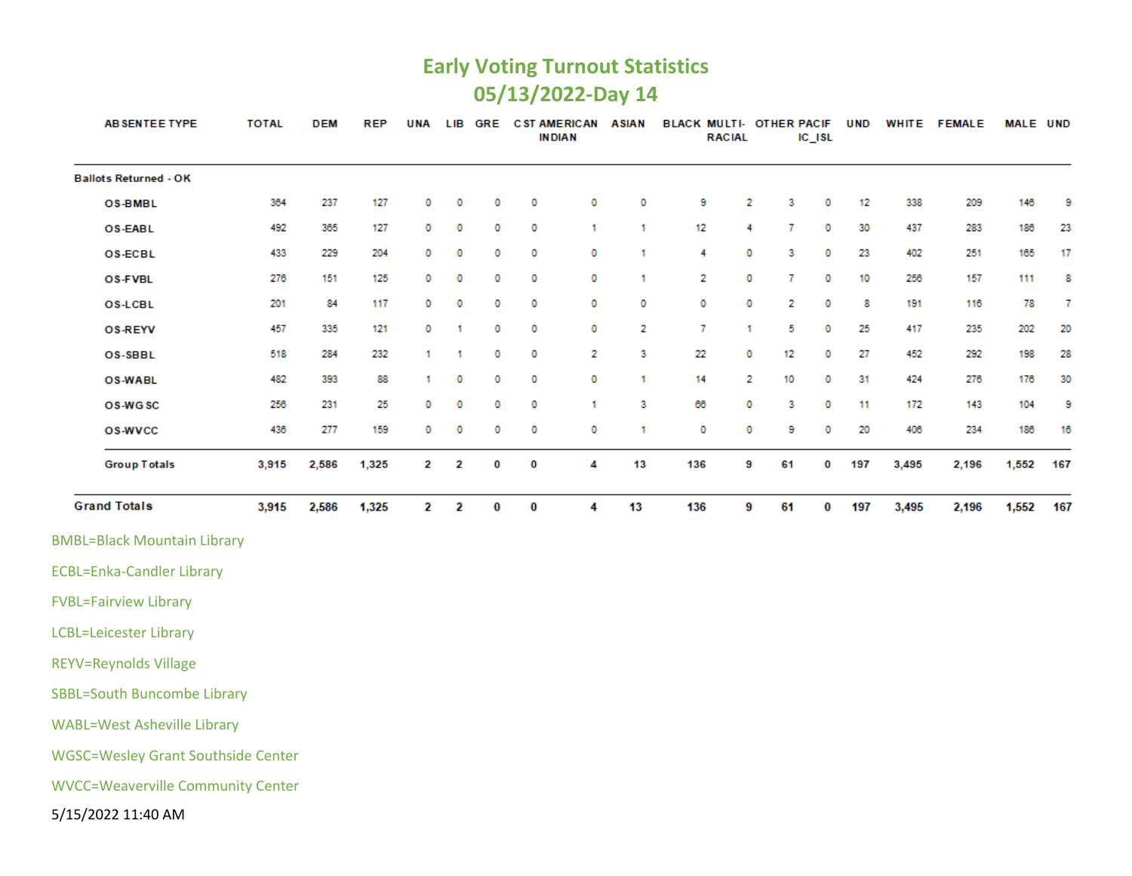#### **Early Voting Turnout Statistics 05/13/2022-Day 14**

| <b>AB SENTEE TYPE</b>                     | <b>TOTAL</b> | <b>DEM</b> | <b>REP</b> | <b>UNA</b> |   | LIB GRE |   | <b>C ST AMERICAN</b><br><b>INDIAN</b> | <b>ASIAN</b>   | BLACK MULTI- OTHER PACIF | <b>RACIAL</b> |    | $IC$ <sub>ISL</sub> | <b>UND</b> |       | WHITE FEMALE | <b>MALE UND</b> |        |
|-------------------------------------------|--------------|------------|------------|------------|---|---------|---|---------------------------------------|----------------|--------------------------|---------------|----|---------------------|------------|-------|--------------|-----------------|--------|
| <b>Ballots Returned - OK</b>              |              |            |            |            |   |         |   |                                       |                |                          |               |    |                     |            |       |              |                 |        |
| <b>OS-BMBL</b>                            | 364          | 237        | 127        | 0          | 0 | 0       | 0 | 0                                     | 0              | 9                        | 2             | 3  | 0                   | 12         | 338   | 209          | 146             | -9     |
| <b>OS-EABL</b>                            | 492          | 365        | 127        | 0          | 0 | 0       | 0 | 1                                     | -1             | 12                       | 4             | 7  | 0                   | 30         | 437   | 283          | 186             | 23     |
| <b>OS-ECBL</b>                            | 433          | 229        | 204        | 0          | 0 | 0       | 0 | 0                                     | 1              | 4                        | 0             | 3  | 0                   | 23         | 402   | 251          | 165             | 17     |
| <b>OS-FVBL</b>                            | 276          | 151        | 125        | 0          | 0 | 0       | 0 | 0                                     | $\mathbf{1}$   | 2                        | 0             | 7  | 0                   | 10         | 256   | 157          | 111             | 8      |
| OS-LCBL                                   | 201          | 84         | 117        | 0          | 0 | 0       | 0 | 0                                     | 0              | 0                        | 0             | 2  | 0                   | 8          | 191   | 116          | 78              | $\tau$ |
| <b>OS-REYV</b>                            | 457          | 335        | 121        | 0          | 1 | 0       | 0 | 0                                     | $\overline{2}$ | 7                        | 1             | 5  | 0                   | 25         | 417   | 235          | 202             | 20     |
| OS-SBBL                                   | 518          | 284        | 232        | 1.         | 1 | 0       | 0 | 2                                     | 3              | 22                       | 0             | 12 | 0                   | 27         | 452   | 292          | 198             | 28     |
| <b>OS-WABL</b>                            | 482          | 393        | 88         | 1          | 0 | 0       | 0 | 0                                     | 1              | 14                       | 2             | 10 | 0                   | 31         | 424   | 276          | 176             | 30     |
| OS-WGSC                                   | 256          | 231        | 25         | 0          | 0 | 0       | 0 | 1                                     | 3              | 66                       | 0             | 3  | 0                   | 11         | 172   | 143          | 104             | 9      |
| <b>OS-WVCC</b>                            | 436          | 277        | 159        | 0          | 0 | 0       | 0 | 0                                     | -1             | 0                        | 0             | 9  | 0                   | 20         | 406   | 234          | 186             | 16     |
| <b>Group Totals</b>                       | 3,915        | 2,586      | 1,325      | 2          | 2 | o       | 0 | 4                                     | 13             | 136                      | 9             | 61 | 0                   | 197        | 3,495 | 2,196        | 1,552           | 167    |
| <b>Grand Totals</b>                       | 3,915        | 2,586      | 1,325      | 2          | 2 | 0       | 0 | 4                                     | 13             | 136                      | 9             | 61 | 0                   | 197        | 3,495 | 2,196        | 1,552           | 167    |
| <b>BMBL=Black Mountain Library</b>        |              |            |            |            |   |         |   |                                       |                |                          |               |    |                     |            |       |              |                 |        |
| <b>ECBL=Enka-Candler Library</b>          |              |            |            |            |   |         |   |                                       |                |                          |               |    |                     |            |       |              |                 |        |
| <b>FVBL=Fairview Library</b>              |              |            |            |            |   |         |   |                                       |                |                          |               |    |                     |            |       |              |                 |        |
| <b>LCBL=Leicester Library</b>             |              |            |            |            |   |         |   |                                       |                |                          |               |    |                     |            |       |              |                 |        |
| <b>REYV=Reynolds Village</b>              |              |            |            |            |   |         |   |                                       |                |                          |               |    |                     |            |       |              |                 |        |
| <b>SBBL=South Buncombe Library</b>        |              |            |            |            |   |         |   |                                       |                |                          |               |    |                     |            |       |              |                 |        |
| <b>WABL=West Asheville Library</b>        |              |            |            |            |   |         |   |                                       |                |                          |               |    |                     |            |       |              |                 |        |
| <b>WGSC=Wesley Grant Southside Center</b> |              |            |            |            |   |         |   |                                       |                |                          |               |    |                     |            |       |              |                 |        |
| <b>WVCC=Weaverville Community Center</b>  |              |            |            |            |   |         |   |                                       |                |                          |               |    |                     |            |       |              |                 |        |
| 5/15/2022 11:40 AM                        |              |            |            |            |   |         |   |                                       |                |                          |               |    |                     |            |       |              |                 |        |